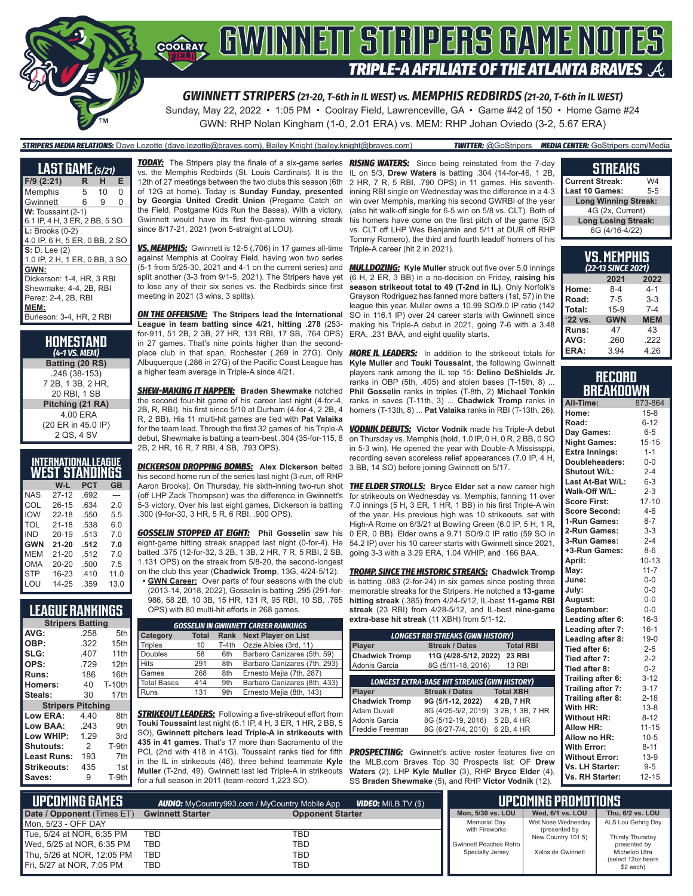

Sunday, May 22, 2022 • 1:05 PM • Coolray Field, Lawrenceville, GA • Game #42 of 150 • Home Game #24 GWN: RHP Nolan Kingham (1-0, 2.01 ERA) vs. MEM: RHP Johan Oviedo (3-2, 5.67 ERA)

### *STRIPERS MEDIA RELATIONS:* Dave Lezotte (dave.lezotte@braves.com), Bailey Knight (bailey.knight@braves.com) *TWITTER:* @GoStripers *MEDIA CENTER:* GoStripers.com/Media

**LAST GAME** *(5/21)* **F/9 (2:21) R H E** Memphis Gwinnett 6 9 0 W: Toussaint (2-1) 6.1 IP, 4 H, 3 ER, 2 BB, 5 SO **L:** Brooks (0-2) 4.0 IP, 6 H, 5 ER, 0 BB, 2 SO **S:** D. Lee (2) 1.0 IP, 2 H, 1 ER, 0 BB, 3 SO **GWN:** Dickerson: 1-4, HR, 3 RBI Shewmake: 4-4, 2B, RBI Perez: 2-4, 2B, RBI **MEM:** Burleson: 3-4, HR, 2 RBI

**HOMESTAND** *(4-1 VS. MEM)* **Batting (20 RS)** .248 (38-153) 7 2B, 1 3B, 2 HR, 20 RBI, 1 SB **Pitching (21 RA)** 4.00 ERA (20 ER in 45.0 IP) 2 QS, 4 SV

|            | INTERNATIONAL LEAGUE |      |      |
|------------|----------------------|------|------|
|            | WEST STANDINGS       |      |      |
|            | W-L                  | PCT  | GB   |
| NAS        | $27 - 12$            | .692 |      |
| COL        | $26 - 15$            | .634 | 20   |
| <b>IOW</b> | $22 - 18$            | .550 | 5.5  |
| TOL        | $21 - 18$            | .538 | 6.0  |
| IND        | $20 - 19$            | .513 | 70   |
| <b>GWN</b> | $21 - 20$            | .512 | 7.0  |
| MEM        | $21 - 20$            | .512 | 7.0  |
| OMA        | $20 - 20$            | .500 | 7.5  |
| <b>STP</b> | 16-23                | .410 | 11.0 |
| LOU        | 14-25                | .359 | 13.0 |

### **LEAGUE RANKINGS**

| <b>Stripers Batting</b>  |      |               |
|--------------------------|------|---------------|
| AVG:                     | .258 | 5th           |
| OBP:                     | .322 | 15th          |
| SLG:                     | .407 | 11th          |
| OPS:                     | .729 | 12th          |
| <b>Runs:</b>             | 186  | 16th          |
| <b>Homers:</b>           | 40   | <b>T-10th</b> |
| Steals:                  | 30   | 17th          |
| <b>Stripers Pitching</b> |      |               |
| <b>Low ERA:</b>          | 4.40 | 8th           |
| Low BAA:                 | .243 | 9th           |
| Low WHIP:                | 1.29 | 3rd           |
| <b>Shutouts:</b>         | 2    | T-9th         |
| Least Runs:              | 193  | 7th           |
| Strikeouts:              | 435  | 1st           |
| Saves:                   | 9    | T-9th         |

vs. the Memphis Redbirds (St. Louis Cardinals). It is the 12th of 27 meetings between the two clubs this season (6th of 12G at home). Today is **Sunday Funday, presented by Georgia United Credit Union** (Pregame Catch on the Field, Postgame Kids Run the Bases). With a victory, Gwinnett would have its first five-game winning streak since 8/17-21, 2021 (won 5-straight at LOU).

*VS. MEMPHIS:* Gwinnett is 12-5 (.706) in 17 games all-time against Memphis at Coolray Field, having won two series (5-1 from 5/25-30, 2021 and 4-1 on the current series) and split another (3-3 from 9/1-5, 2021). The Stripers have yet to lose any of their six series vs. the Redbirds since first meeting in 2021 (3 wins, 3 splits).

*ON THE OFFENSIVE:* **The Stripers lead the International League in team batting since 4/21, hitting .278** (253 for-911, 51 2B, 2 3B, 27 HR, 131 RBI, 17 SB, .764 OPS) in 27 games. That's nine points higher than the secondplace club in that span, Rochester (.269 in 27G). Only Albuquerque (.286 in 27G) of the Pacific Coast League has a higher team average in Triple-A since 4/21.

*SHEW-MAKING IT HAPPEN:* **Braden Shewmake** notched the second four-hit game of his career last night (4-for-4, 2B, R, RBI), his first since 5/10 at Durham (4-for-4, 2 2B, 4 R, 2 BB). His 11 multi-hit games are tied with **Pat Valaika** for the team lead. Through the first 32 games of his Triple-A debut, Shewmake is batting a team-best .304 (35-for-115, 8 2B, 2 HR, 16 R, 7 RBI, 4 SB, .793 OPS).

*DICKERSON DROPPING BOMBS:* **Alex Dickerson** belted his second home run of the series last night (3-run, off RHP (off LHP Zack Thompson) was the difference in Gwinnett's .300 (9-for-30, 3 HR, 5 R, 6 RBI, .900 OPS).

*GOSSELIN STOPPED AT EIGHT:* **Phil Gosselin** saw his eight-game hitting streak snapped last night (0-for-4). He batted .375 (12-for-32, 3 2B, 1 3B, 2 HR, 7 R, 5 RBI, 2 SB, 1.131 OPS) on the streak from 5/8-20, the second-longest on the club this year (**Chadwick Tromp**, 13G, 4/24-5/12).

**• GWN Career:** Over parts of four seasons with the club (2013-14, 2018, 2022), Gosselin is batting .295 (291-for-986, 58 2B, 10 3B, 15 HR, 131 R, 95 RBI, 10 SB, .765 OPS) with 80 multi-hit efforts in 268 games.

| <b>GOSSELIN IN GWINNETT CAREER RANKINGS</b> |                                                           |       |                              |  |  |  |  |  |
|---------------------------------------------|-----------------------------------------------------------|-------|------------------------------|--|--|--|--|--|
| <b>Category</b>                             | <b>Next Player on List</b><br><b>Total</b><br><b>Rank</b> |       |                              |  |  |  |  |  |
| Triples                                     | 10                                                        | T-4th | Ozzie Albies (3rd, 11)       |  |  |  |  |  |
| Doubles                                     | 58                                                        | 6th   | Barbaro Canizares (5th, 59)  |  |  |  |  |  |
| Hits                                        | 291                                                       | 8th   | Barbaro Canizares (7th, 293) |  |  |  |  |  |
| Games                                       | 268                                                       | 8th   | Ernesto Mejia (7th, 287)     |  |  |  |  |  |
| Total Bases                                 | 414                                                       | 9th   | Barbaro Canizares (8th, 433) |  |  |  |  |  |
| Runs                                        | 131                                                       | 9th   | Ernesto Mejia (8th, 143)     |  |  |  |  |  |

**STRIKEOUT LEADERS:** Following a five-strikeout effort from **Touki Toussaint** last night (6.1 IP, 4 H, 3 ER, 1 HR, 2 BB, 5 SO), **Gwinnett pitchers lead Triple-A in strikeouts with 435 in 41 games**. That's 17 more than Sacramento of the PCL (2nd with 418 in 41G). Toussaint ranks tied for fifth in the IL in strikeouts (46), three behind teammate **Kyle Muller** (T-2nd, 49). Gwinnett last led Triple-A in strikeouts for a full season in 2011 (team-record 1,223 SO).

*TODAY:* The Stripers play the finale of a six-game series *RISING WATERS:* Since being reinstated from the 7-day IL on 5/3, **Drew Waters** is batting .304 (14-for-46, 1 2B, 2 HR, 7 R, 5 RBI, .790 OPS) in 11 games. His seventhinning RBI single on Wednesday was the difference in a 4-3 win over Memphis, marking his second GWRBI of the year (also hit walk-off single for 6-5 win on 5/8 vs. CLT). Both of his homers have come on the first pitch of the game (5/3 vs. CLT off LHP Wes Benjamin and 5/11 at DUR off RHP Tommy Romero), the third and fourth leadoff homers of his Triple-A career (hit 2 in 2021).

> *MULLDOZING:* **Kyle Muller** struck out five over 5.0 innings (6 H, 2 ER, 3 BB) in a no-decision on Friday, **raising his season strikeout total to 49 (T-2nd in IL)**. Only Norfolk's Grayson Rodriguez has fanned more batters (1st, 57) in the league this year. Muller owns a 10.99 SO/9.0 IP ratio (142 SO in 116.1 IP) over 24 career starts with Gwinnett since making his Triple-A debut in 2021, going 7-6 with a 3.48 ERA, .231 BAA, and eight quality starts.

> *MORE IL LEADERS:* In addition to the strikeout totals for **Kyle Muller** and **Touki Toussaint**, the following Gwinnett players rank among the IL top 15: **Delino DeShields Jr.** ranks in OBP (5th, .405) and stolen bases (T-15th, 8) ... **Phil Gosselin** ranks in triples (T-8th, 2) **Michael Tonkin** ranks in saves (T-11th, 3) ... **Chadwick Tromp** ranks in homers (T-13th, 8) ... **Pat Valaika** ranks in RBI (T-13th, 26).

> *VODNIK DEBUTS:* **Victor Vodnik** made his Triple-A debut on Thursday vs. Memphis (hold, 1.0 IP, 0 H, 0 R, 2 BB, 0 SO in 5-3 win). He opened the year with Double-A Mississppi, recording seven scoreless relief appearances (7.0 IP, 4 H, 3 BB, 14 SO) before joining Gwinnett on 5/17.

Aaron Brooks). On Thursday, his sixth-inning two-run shot *THE ELDER STROLLS:* **Bryce Elder** set a new career high 5-3 victory. Over his last eight games, Dickerson is batting 7.0 innings (5 H, 3 ER, 1 HR, 1 BB) in his first Triple-A win for strikeouts on Wednesday vs. Memphis, fanning 11 over of the year. His previous high was 10 strikeouts, set with High-A Rome on 6/3/21 at Bowling Green (6.0 IP, 5 H, 1 R, 0 ER, 0 BB). Elder owns a 9.71 SO/9.0 IP ratio (59 SO in 54.2 IP) over his 10 career starts with Gwinnett since 2021, going 3-3 with a 3.29 ERA, 1.04 WHIP, and .166 BAA.

> *TROMP, SINCE THE HISTORIC STREAKS:* **Chadwick Tromp** is batting .083 (2-for-24) in six games since posting three memorable streaks for the Stripers. He notched a **13-game hitting streak** (.385) from 4/24-5/12, IL-best **11-game RBI streak** (23 RBI) from 4/28-5/12, and IL-best **nine-game extra-base hit streak** (11 XBH) from 5/1-12.

| <b>LONGEST RBI STREAKS (GWN HISTORY)</b>            |                                           |                  |  |  |  |  |  |
|-----------------------------------------------------|-------------------------------------------|------------------|--|--|--|--|--|
| <b>Streak / Dates</b><br><b>Total RBI</b><br>Player |                                           |                  |  |  |  |  |  |
| <b>Chadwick Tromp</b>                               | 11G (4/28-5/12, 2022)                     | <b>23 RBI</b>    |  |  |  |  |  |
| Adonis Garcia                                       | 8G (5/11-18, 2016)                        | <b>13 RBI</b>    |  |  |  |  |  |
| <b>LONGEST EXTRA-BASE HIT STREAKS (GWN HISTORY)</b> |                                           |                  |  |  |  |  |  |
| <b>Player</b>                                       | <b>Total XBH</b><br><b>Streak / Dates</b> |                  |  |  |  |  |  |
| <b>Chadwick Tromp</b>                               | 9G (5/1-12, 2022)                         | 4 2B, 7 HR       |  |  |  |  |  |
| <b>Adam Duvall</b>                                  | 8G (4/25-5/2, 2019)                       | 3 2B, 1 3B, 7 HR |  |  |  |  |  |
| Adonis Garcia                                       | 8G (5/12-19, 2016)                        | 5 2B, 4 HR       |  |  |  |  |  |
| Freddie Freeman                                     | 8G (6/27-7/4, 2010)                       | 6 2B, 4 HR       |  |  |  |  |  |

**PROSPECTING:** Gwinnett's active roster features five on the MLB.com Braves Top 30 Prospects list: OF **Drew Waters** (2), LHP **Kyle Muller** (3), RHP **Bryce Elder** (4), SS **Braden Shewmake** (5), and RHP **Victor Vodnik** (12).

| <b>STREAKS</b> |  |
|----------------|--|

| <b>Current Streak:</b>      | W4  |  |  |  |
|-----------------------------|-----|--|--|--|
| <b>Last 10 Games:</b>       | 5-5 |  |  |  |
| <b>Long Winning Streak:</b> |     |  |  |  |
| 4G (2x, Current)            |     |  |  |  |
| <b>Long Losing Streak:</b>  |     |  |  |  |
| 6G (4/16-4/22)              |     |  |  |  |
|                             |     |  |  |  |

| VS.MEMPHIS<br>(22-13 SINCE 2021) |            |            |  |  |  |  |
|----------------------------------|------------|------------|--|--|--|--|
| 2021<br>2022                     |            |            |  |  |  |  |
| Home:                            | $8 - 4$    | $4 - 1$    |  |  |  |  |
| Road:                            | $7 - 5$    | $3-3$      |  |  |  |  |
| Total:                           | $15-9$     | $7-4$      |  |  |  |  |
| '22 vs.                          | <b>GWN</b> | <b>MEM</b> |  |  |  |  |
| Runs:                            | 47         | 43         |  |  |  |  |
| AVG:                             | .260       | .222       |  |  |  |  |
| ERA:                             | 3.94       | 4.26       |  |  |  |  |

### **RECORD BREAKDOWN**

| All-Time:             | 873-864   |
|-----------------------|-----------|
| Home:                 | $15 - 8$  |
| Road:                 | $6 - 12$  |
| Day Games:            | $6-5$     |
| <b>Night Games:</b>   | $15 - 15$ |
| <b>Extra Innings:</b> | $1 - 1$   |
| Doubleheaders:        | $0-0$     |
| <b>Shutout W/L:</b>   | $2 - 4$   |
| Last At-Bat W/L:      | $6 - 3$   |
| Walk-Off W/L:         | $2 - 3$   |
| <b>Score First:</b>   | $17 - 10$ |
| <b>Score Second:</b>  | $4 - 6$   |
| 1-Run Games:          | $8 - 7$   |
| 2-Run Games:          | $3 - 3$   |
| 3-Run Games:          | $2 - 4$   |
| +3-Run Games:         | $8 - 6$   |
| April:                | $10 - 13$ |
| May:                  | $11 - 7$  |
| June:                 | $0-0$     |
| July:                 | $0-0$     |
| August:               | $0-0$     |
| September:            | $0-0$     |
| Leading after 6:      | $16 - 3$  |
| Leading after 7:      | $16 - 1$  |
| Leading after 8:      | $19-0$    |
| Tied after 6:         | $2 - 5$   |
| Tied after 7:         | $2 - 2$   |
| Tied after 8:         | $0 - 2$   |
| Trailing after 6:     | $3 - 12$  |
| Trailing after 7:     | $3 - 17$  |
| Trailing after 8:     | $2 - 18$  |
| With HR:              | $13 - 8$  |
| <b>Without HR:</b>    | $8 - 12$  |
| <b>Allow HR:</b>      | $11 - 15$ |
| Allow no HR:          | $10 - 5$  |
| <b>With Error:</b>    | $8 - 11$  |
| <b>Without Error:</b> | $13-9$    |
| Vs. LH Starter:       | $9 - 5$   |
| Vs. RH Starter:       | $12 - 15$ |

| Lupcoming Games I          |                         | <b>VIDEO:</b> Milb.TV (\$)<br><b>AUDIO:</b> MyCountry993.com / MyCountry Mobile App |                        | IIPCOMING PROMOTIONS                |                                 |
|----------------------------|-------------------------|-------------------------------------------------------------------------------------|------------------------|-------------------------------------|---------------------------------|
| Date / Opponent (Times ET) | <b>Gwinnett Starter</b> | <b>Opponent Starter</b>                                                             | Mon. 5/30 vs. LOU      | Wed. 6/1 vs. LOU                    | Thu. 6/2 vs. LOU                |
| Mon. 5/23 - OFF DAY        |                         |                                                                                     | Memorial Dav           | Wet Nose Wednesdav                  | ALS Lou Gehrig Day              |
| Tue, 5/24 at NOR, 6:35 PM  | TBD                     | TBD                                                                                 | with Fireworks         | (presented by<br>New Country 101.5) | Thirsty Thursday                |
| Wed, 5/25 at NOR, 6:35 PM  | TBD                     | TBD                                                                                 | Gwinnett Peaches Retro |                                     | presented by                    |
| Thu, 5/26 at NOR, 12:05 PM | TBD                     | TBD                                                                                 | Specialty Jersey       | Xolos de Gwinnett                   | Michelob Utra                   |
| Fri, 5/27 at NOR, 7:05 PM  | TBD                     | TBD                                                                                 |                        |                                     | (select 12oz beers<br>\$2 each) |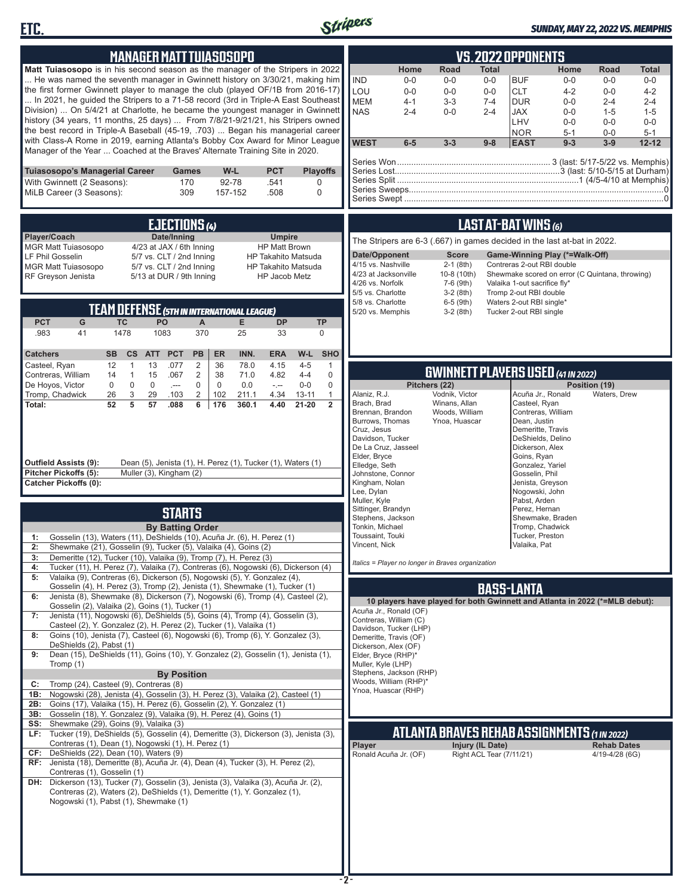



### *SUNDAY, MAY 22, 2022 VS. MEMPHIS*

| <b>MANAGER MATT TUIASOSOPO</b><br><b>Matt Tuiasosopo</b> is in his second season as the manager of the Stripers in 2022<br>He was named the seventh manager in Gwinnett history on 3/30/21, making him<br>the first former Gwinnett player to manage the club (played OF/1B from 2016-17)<br>In 2021, he guided the Stripers to a 71-58 record (3rd in Triple-A East Southeast<br>Division)  On 5/4/21 at Charlotte, he became the youngest manager in Gwinnett<br>history (34 years, 11 months, 25 days)  From 7/8/21-9/21/21, his Stripers owned<br>the best record in Triple-A Baseball (45-19, .703)  Began his managerial career<br>with Class-A Rome in 2019, earning Atlanta's Bobby Cox Award for Minor League<br>Manager of the Year  Coached at the Braves' Alternate Training Site in 2020.<br>Tuiasosopo's Managerial Career<br>W-L<br><b>PCT</b><br><b>Games</b>                                                                                                                                                                                                                                                                                                                                                                                                                                                                                                                                                                                                                                                                                                                                                                                                                                                                                                                                                                                                                                                                                                                                                                                                                                                                                                                                                                                                                                                                                                                                                                                                                                                                                                                                                                                                                                                                                                                                                                                                                                                                                                                                                                                                                                                                                                                                                                                                                                       | VS.2022 OPPONENTS<br>Road<br>Home<br>Home<br><b>Total</b><br>Total<br>Road<br><b>IND</b><br>$0-0$<br><b>BUF</b><br>$0-0$<br>$0-0$<br>$0-0$<br>$0-0$<br>$0-0$<br>LOU<br>$0-0$<br>$0-0$<br><b>CLT</b><br>$4 - 2$<br>$0-0$<br>$0-0$<br>$4 - 2$<br><b>MEM</b><br>$4 - 1$<br>$3 - 3$<br><b>DUR</b><br>$7 - 4$<br>$0-0$<br>$2 - 4$<br>$2 - 4$<br><b>NAS</b><br>$2 - 4$<br>$0-0$<br>$2 - 4$<br><b>JAX</b><br>$0-0$<br>$1 - 5$<br>$1 - 5$<br>LHV<br>$0-0$<br>$0-0$<br>$0-0$<br><b>NOR</b><br>$5 - 1$<br>$0-0$<br>$5 - 1$<br><b>WEST</b><br>$6-5$<br>$3 - 3$<br>$9 - 8$<br><b>EAST</b><br>$9 - 3$<br>$3-9$<br>$12 - 12$<br><b>Playoffs</b>                                                                                                                                                                                                                                                                                                                                                                                                                                                                                                                                                                                                                                                                                                                                                                                                                                                                                                                                                                                                                                                                                                                                                                                                                                                                                                                                                                                                                                                                                                                                           |
|---------------------------------------------------------------------------------------------------------------------------------------------------------------------------------------------------------------------------------------------------------------------------------------------------------------------------------------------------------------------------------------------------------------------------------------------------------------------------------------------------------------------------------------------------------------------------------------------------------------------------------------------------------------------------------------------------------------------------------------------------------------------------------------------------------------------------------------------------------------------------------------------------------------------------------------------------------------------------------------------------------------------------------------------------------------------------------------------------------------------------------------------------------------------------------------------------------------------------------------------------------------------------------------------------------------------------------------------------------------------------------------------------------------------------------------------------------------------------------------------------------------------------------------------------------------------------------------------------------------------------------------------------------------------------------------------------------------------------------------------------------------------------------------------------------------------------------------------------------------------------------------------------------------------------------------------------------------------------------------------------------------------------------------------------------------------------------------------------------------------------------------------------------------------------------------------------------------------------------------------------------------------------------------------------------------------------------------------------------------------------------------------------------------------------------------------------------------------------------------------------------------------------------------------------------------------------------------------------------------------------------------------------------------------------------------------------------------------------------------------------------------------------------------------------------------------------------------------------------------------------------------------------------------------------------------------------------------------------------------------------------------------------------------------------------------------------------------------------------------------------------------------------------------------------------------------------------------------------------------------------------------------------------------------------------------------|-----------------------------------------------------------------------------------------------------------------------------------------------------------------------------------------------------------------------------------------------------------------------------------------------------------------------------------------------------------------------------------------------------------------------------------------------------------------------------------------------------------------------------------------------------------------------------------------------------------------------------------------------------------------------------------------------------------------------------------------------------------------------------------------------------------------------------------------------------------------------------------------------------------------------------------------------------------------------------------------------------------------------------------------------------------------------------------------------------------------------------------------------------------------------------------------------------------------------------------------------------------------------------------------------------------------------------------------------------------------------------------------------------------------------------------------------------------------------------------------------------------------------------------------------------------------------------------------------------------------------------------------------------------------------------------------------------------------------------------------------------------------------------------------------------------------------------------------------------------------------------------------------------------------------------------------------------------------------------------------------------------------------------------------------------------------------------------------------------------------------------------------------------------------------------|
| With Gwinnett (2 Seasons):<br>170<br>92-78<br>.541<br>MiLB Career (3 Seasons):<br>309<br>157-152<br>.508                                                                                                                                                                                                                                                                                                                                                                                                                                                                                                                                                                                                                                                                                                                                                                                                                                                                                                                                                                                                                                                                                                                                                                                                                                                                                                                                                                                                                                                                                                                                                                                                                                                                                                                                                                                                                                                                                                                                                                                                                                                                                                                                                                                                                                                                                                                                                                                                                                                                                                                                                                                                                                                                                                                                                                                                                                                                                                                                                                                                                                                                                                                                                                                                            | 0<br>0                                                                                                                                                                                                                                                                                                                                                                                                                                                                                                                                                                                                                                                                                                                                                                                                                                                                                                                                                                                                                                                                                                                                                                                                                                                                                                                                                                                                                                                                                                                                                                                                                                                                                                                                                                                                                                                                                                                                                                                                                                                                                                                                                                      |
| <b>EJECTIONS (4)</b><br>Date/Inning<br>Player/Coach<br><b>Umpire</b><br><b>MGR Matt Tuiasosopo</b><br>4/23 at JAX / 6th Inning<br><b>HP Matt Brown</b><br>LF Phil Gosselin<br>5/7 vs. CLT / 2nd Inning<br><b>HP Takahito Matsuda</b><br>MGR Matt Tuiasosopo<br>5/7 vs. CLT / 2nd Inning<br><b>HP Takahito Matsuda</b><br>RF Greyson Jenista<br>5/13 at DUR / 9th Inning<br>HP Jacob Metz<br><b>TEAM DEFENSE (5TH IN INTERNATIONAL LEAGUE)</b><br><b>PCT</b><br>G<br><b>TC</b><br>PO<br>$\boldsymbol{\mathsf{A}}$<br>E.<br><b>DP</b><br>.983<br>41<br>1478<br>1083<br>370<br>25<br>33<br><b>PCT</b><br><b>ER</b><br>INN.<br>W-L<br><b>Catchers</b><br><b>SB</b><br>cs<br><b>PB</b><br><b>ERA</b><br><b>ATT</b><br>$\mathbf{1}$<br>13<br>.077<br>2<br>36<br>78.0<br>Casteel, Ryan<br>12<br>4.15<br>$4 - 5$<br>$\overline{2}$<br>Contreras, William<br>$\overline{1}$<br>15<br>.067<br>38<br>71.0<br>$4 - 4$<br>14<br>4.82<br>$\mathbf 0$<br>De Hoyos, Victor<br>$\mathbf 0$<br>$\mathbf 0$<br>$\mathbf 0$<br>$\Omega$<br>0.0<br>$0-0$<br>$-$<br>$\sim$<br>$\overline{2}$<br>Tromp, Chadwick<br>26<br>3<br>29<br>.103<br>102<br>211.1<br>4.34<br>$13 - 11$<br>52<br>5<br>Total:<br>57<br>.088<br>6<br>176<br>360.1<br>4.40<br>21-20<br><b>Outfield Assists (9):</b><br>Dean (5), Jenista (1), H. Perez (1), Tucker (1), Waters (1)<br>Pitcher Pickoffs (5):<br>Muller (3), Kingham (2)<br><b>Catcher Pickoffs (0):</b><br><b>STARTS</b><br><b>By Batting Order</b><br>Gosselin (13), Waters (11), DeShields (10), Acuña Jr. (6), H. Perez (1)<br>1:<br>2:<br>Shewmake (21), Gosselin (9), Tucker (5), Valaika (4), Goins (2)<br>Demeritte (12), Tucker (10), Valaika (9), Tromp (7), H. Perez (3)<br>3:<br>Tucker (11), H. Perez (7), Valaika (7), Contreras (6), Nogowski (6), Dickerson (4)<br>4:<br>Valaika (9), Contreras (6), Dickerson (5), Nogowski (5), Y. Gonzalez (4),<br>5:<br>Gosselin (4), H. Perez (3), Tromp (2), Jenista (1), Shewmake (1), Tucker (1)<br>Jenista (8), Shewmake (8), Dickerson (7), Nogowski (6), Tromp (4), Casteel (2),<br>6:<br>Gosselin (2), Valaika (2), Goins (1), Tucker (1)<br>Jenista (11), Nogowski (6), DeShields (5), Goins (4), Tromp (4), Gosselin (3),<br>7:<br>Casteel (2), Y. Gonzalez (2), H. Perez (2), Tucker (1), Valaika (1)<br>Goins (10), Jenista (7), Casteel (6), Nogowski (6), Tromp (6), Y. Gonzalez (3),<br>8:<br>DeShields (2), Pabst (1)<br>Dean (15), DeShields (11), Goins (10), Y. Gonzalez (2), Gosselin (1), Jenista (1),<br>9:<br>Tromp (1)<br><b>By Position</b><br>Tromp (24), Casteel (9), Contreras (8)<br>C:<br>Nogowski (28), Jenista (4), Gosselin (3), H. Perez (3), Valaika (2), Casteel (1)<br>1B:<br>Goins (17), Valaika (15), H. Perez (6), Gosselin (2), Y. Gonzalez (1)<br>2B:<br>Gosselin (18), Y. Gonzalez (9), Valaika (9), H. Perez (4), Goins (1)<br>3B:<br>Shewmake (29), Goins (9), Valaika (3)<br>SS:<br>LF: Tucker (19), DeShields (5), Gosselin (4), Demeritte (3), Dickerson (3), Jenista (3),<br>Contreras (1), Dean (1), Nogowski (1), H. Perez (1)<br>DeShields (22), Dean (10), Waters (9)<br>CF:<br>Jenista (18), Demeritte (8), Acuña Jr. (4), Dean (4), Tucker (3), H. Perez (2),<br>RF:<br>Contreras (1), Gosselin (1)<br>DH: Dickerson (13), Tucker (7), Gosselin (3), Jenista (3), Valaika (3), Acuña Jr. (2), | LAST AT-BAT WINS (6)<br>The Stripers are 6-3 (.667) in games decided in the last at-bat in 2022.<br>Date/Opponent<br><b>Score</b><br>Game-Winning Play (*=Walk-Off)<br>4/15 vs. Nashville<br>$2-1$ (8th)<br>Contreras 2-out RBI double<br>4/23 at Jacksonville<br>10-8 (10th)<br>Shewmake scored on error (C Quintana, throwing)<br>4/26 vs. Norfolk<br>7-6 (9th)<br>Valaika 1-out sacrifice fly*<br>5/5 vs. Charlotte<br>$3-2(8th)$<br>Tromp 2-out RBI double<br>5/8 vs. Charlotte<br>$6-5$ (9th)<br>Waters 2-out RBI single*<br>5/20 vs. Memphis<br>$3-2(8th)$<br>Tucker 2-out RBI single<br><b>TP</b><br>$\mathbf 0$<br><b>SHO</b><br>$\mathbf{1}$<br><b>GWINNETT PLAYERS USED (41 IN 2022)</b><br>0<br>$\mathbf 0$<br>Pitchers (22)<br>Position (19)<br>$\mathbf{1}$<br>Alaniz, R.J.<br>Vodnik, Victor<br>Acuña Jr., Ronald<br>Waters, Drew<br>Winans, Allan<br>$\overline{2}$<br>Brach, Brad<br>Casteel, Ryan<br>Contreras, William<br>Brennan, Brandon<br>Woods, William<br>Burrows, Thomas<br>Ynoa, Huascar<br>Dean, Justin<br>Cruz, Jesus<br>Demeritte, Travis<br>Davidson, Tucker<br>DeShields, Delino<br>De La Cruz, Jasseel<br>Dickerson, Alex<br>Elder, Bryce<br>Goins, Ryan<br>Elledge, Seth<br>Gonzalez, Yariel<br>Johnstone, Connor<br>Gosselin, Phil<br>Kingham, Nolan<br>Jenista, Greyson<br>Lee, Dylan<br>Nogowski, John<br>Pabst, Arden<br>Muller, Kyle<br>Sittinger, Brandyn<br>Perez, Hernan<br>Stephens, Jackson<br>Shewmake, Braden<br>Tonkin, Michael<br>Tromp, Chadwick<br>Toussaint, Touki<br>Tucker, Preston<br>Vincent, Nick<br>Valaika, Pat<br>Italics = Player no longer in Braves organization<br><b>BASS-LANTA</b><br>10 players have played for both Gwinnett and Atlanta in 2022 (*=MLB debut):<br>Acuña Jr., Ronald (OF)<br>Contreras, William (C)<br>Davidson, Tucker (LHP)<br>Demeritte, Travis (OF)<br>Dickerson, Alex (OF)<br>Elder, Bryce (RHP)*<br>Muller, Kyle (LHP)<br>Stephens, Jackson (RHP)<br>Woods, William (RHP)*<br>Ynoa, Huascar (RHP)<br><b>ATLANTA BRAVES REHAB ASSIGNMENTS (1 IN 2022)</b><br>Player<br>Injury (IL Date)<br><b>Rehab Dates</b><br>Right ACL Tear (7/11/21)<br>Ronald Acuña Jr. (OF)<br>4/19-4/28 (6G) |
| Contreras (2), Waters (2), DeShields (1), Demeritte (1), Y. Gonzalez (1),<br>Nogowski (1), Pabst (1), Shewmake (1)                                                                                                                                                                                                                                                                                                                                                                                                                                                                                                                                                                                                                                                                                                                                                                                                                                                                                                                                                                                                                                                                                                                                                                                                                                                                                                                                                                                                                                                                                                                                                                                                                                                                                                                                                                                                                                                                                                                                                                                                                                                                                                                                                                                                                                                                                                                                                                                                                                                                                                                                                                                                                                                                                                                                                                                                                                                                                                                                                                                                                                                                                                                                                                                                  |                                                                                                                                                                                                                                                                                                                                                                                                                                                                                                                                                                                                                                                                                                                                                                                                                                                                                                                                                                                                                                                                                                                                                                                                                                                                                                                                                                                                                                                                                                                                                                                                                                                                                                                                                                                                                                                                                                                                                                                                                                                                                                                                                                             |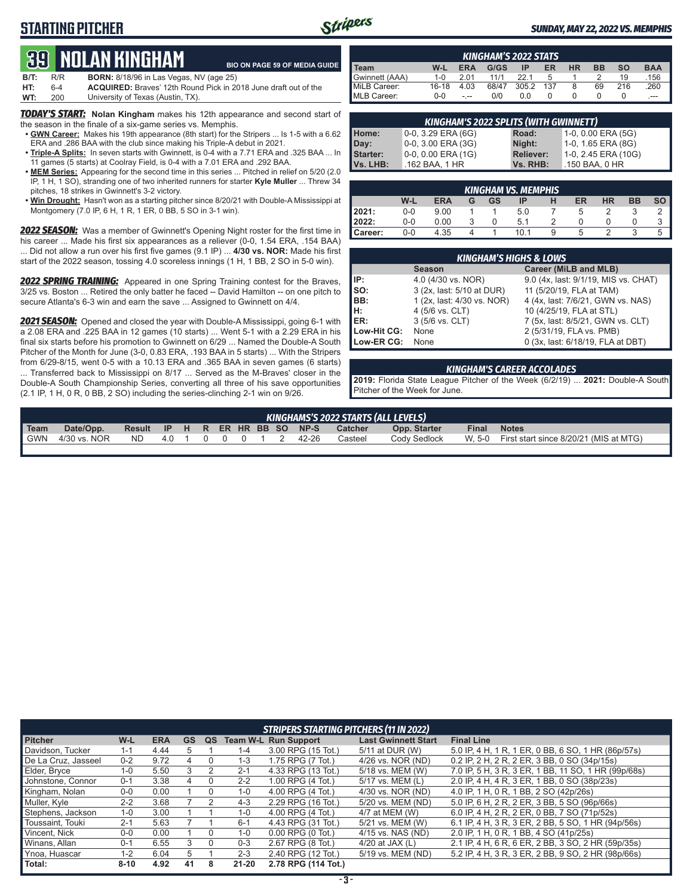## **STARTING PITCHER**



### *SUNDAY, MAY 22, 2022 VS. MEMPHIS*

# **39****NOLAN KINGHAM**

|      |         | <u>tuu mulan minumaht</u>                                              | <b>BIO ON PAGE 59 OF MEDIA GUIDE</b> |
|------|---------|------------------------------------------------------------------------|--------------------------------------|
| B/T: | R/R     | <b>BORN:</b> 8/18/96 in Las Vegas, NV (age 25)                         |                                      |
| HT:  | $6 - 4$ | <b>ACQUIRED:</b> Braves' 12th Round Pick in 2018 June draft out of the |                                      |
| WT:  | 200     | University of Texas (Austin, TX).                                      |                                      |

*TODAY'S START:* **Nolan Kingham** makes his 12th appearance and second start of the season in the finale of a six-game series vs. Memphis.

- **• GWN Career:** Makes his 19th appearance (8th start) for the Stripers ... Is 1-5 with a 6.62 ERA and .286 BAA with the club since making his Triple-A debut in 2021.
- **• Triple-A Splits:** In seven starts with Gwinnett, is 0-4 with a 7.71 ERA and .325 BAA ... In 11 games (5 starts) at Coolray Field, is 0-4 with a 7.01 ERA and .292 BAA.
- **• MEM Series:** Appearing for the second time in this series ... Pitched in relief on 5/20 (2.0 IP, 1 H, 1 SO), stranding one of two inherited runners for starter **Kyle Muller** ... Threw 34 pitches, 18 strikes in Gwinnett's 3-2 victory.
- **• Win Drought:** Hasn't won as a starting pitcher since 8/20/21 with Double-A Mississippi at Montgomery (7.0 IP, 6 H, 1 R, 1 ER, 0 BB, 5 SO in 3-1 win).

*2022 SEASON:* Was a member of Gwinnett's Opening Night roster for the first time in his career ... Made his first six appearances as a reliever (0-0, 1.54 ERA, .154 BAA) ... Did not allow a run over his first five games (9.1 IP) ... **4/30 vs. NOR:** Made his first start of the 2022 season, tossing 4.0 scoreless innings (1 H, 1 BB, 2 SO in 5-0 win).

**2022 SPRING TRAINING:** Appeared in one Spring Training contest for the Braves, 3/25 vs. Boston ... Retired the only batter he faced -- David Hamilton -- on one pitch to secure Atlanta's 6-3 win and earn the save ... Assigned to Gwinnett on 4/4.

*2021 SEASON:* Opened and closed the year with Double-A Mississippi, going 6-1 with a 2.08 ERA and .225 BAA in 12 games (10 starts) ... Went 5-1 with a 2.29 ERA in his final six starts before his promotion to Gwinnett on 6/29 ... Named the Double-A South Pitcher of the Month for June (3-0, 0.83 ERA, .193 BAA in 5 starts) ... With the Stripers from 6/29-8/15, went 0-5 with a 10.13 ERA and .365 BAA in seven games (6 starts) ... Transferred back to Mississippi on 8/17 ... Served as the M-Braves' closer in the Double-A South Championship Series, converting all three of his save opportunities (2.1 IP, 1 H, 0 R, 0 BB, 2 SO) including the series-clinching 2-1 win on 9/26.

| <b>KINGHAM'S 2022 STATS</b> |         |            |       |       |     |           |           |           |            |
|-----------------------------|---------|------------|-------|-------|-----|-----------|-----------|-----------|------------|
| Team                        | W-L     | <b>ERA</b> | G/GS  | ΙP    | ER  | <b>HR</b> | <b>BB</b> | <b>SO</b> | <b>BAA</b> |
| Gwinnett (AAA)              | $1 - 0$ | 2 Q1       | 11/1  | 221   |     |           |           | 19        | .156       |
| MiLB Career:                | 16-18   | 4.03       | 68/47 | 305.2 | 137 | 8         | 69        | 216       | .260       |
| <b>IMLB Career:</b>         | $0 - 0$ | - --       | 0/0   | 0.0   |     |           |           |           | $---$      |

| <b>KINGHAM'S 2022 SPLITS (WITH GWINNETT)</b> |                       |                  |                     |  |  |  |  |  |  |  |  |
|----------------------------------------------|-----------------------|------------------|---------------------|--|--|--|--|--|--|--|--|
| Home:                                        | $0-0$ , 3.29 ERA (6G) | Road:            | 1-0, 0.00 ERA (5G)  |  |  |  |  |  |  |  |  |
| Day:                                         | 0-0, 3.00 ERA (3G)    | Night:           | 1-0, 1.65 ERA (8G)  |  |  |  |  |  |  |  |  |
| <b>Starter:</b>                              | $0-0, 0.00$ ERA (1G)  | <b>Reliever:</b> | 1-0, 2.45 ERA (10G) |  |  |  |  |  |  |  |  |
| Vs. LHB:                                     | .162 BAA, 1 HR        | Vs. RHB:         | .150 BAA, 0 HR      |  |  |  |  |  |  |  |  |

|           | <b>KINGHAM VS. MEMPHIS</b> |            |   |    |      |   |    |           |           |           |  |
|-----------|----------------------------|------------|---|----|------|---|----|-----------|-----------|-----------|--|
|           | W-L                        | <b>ERA</b> | G | GS | IP   | н | ER | <b>HR</b> | <b>BB</b> | <b>SO</b> |  |
| 2021:     | $0 - 0$                    | 9.00       |   |    | 5.0  |   | 5  |           |           |           |  |
| 2022:     | $0 - 0$                    | 0.00       |   |    | 5.1  | ◠ |    |           |           | 3         |  |
| l Career: | $0-0$                      | 4.35       |   |    | 10.1 | 9 | 5  |           | u         | 5         |  |

|                 | <b>KINGHAM'S HIGHS &amp; LOWS</b> |                                      |  |  |  |  |  |  |  |  |  |
|-----------------|-----------------------------------|--------------------------------------|--|--|--|--|--|--|--|--|--|
|                 | <b>Season</b>                     | Career (MiLB and MLB)                |  |  |  |  |  |  |  |  |  |
| IIP:            | 4.0 (4/30 vs. NOR)                | 9.0 (4x, last: 9/1/19, MIS vs. CHAT) |  |  |  |  |  |  |  |  |  |
| $\mathsf{Iso}:$ | 3 (2x, last: 5/10 at DUR)         | 11 (5/20/19, FLA at TAM)             |  |  |  |  |  |  |  |  |  |
| IBB:            | 1 (2x, last: 4/30 vs. NOR)        | 4 (4x, last: 7/6/21, GWN vs. NAS)    |  |  |  |  |  |  |  |  |  |
| Iн:             | 4 (5/6 vs. CLT)                   | 10 (4/25/19, FLA at STL)             |  |  |  |  |  |  |  |  |  |
| ER:             | 3 (5/6 vs. CLT)                   | 7 (5x, last: 8/5/21, GWN vs. CLT)    |  |  |  |  |  |  |  |  |  |
| Low-Hit CG:     | None                              | 2 (5/31/19, FLA vs. PMB)             |  |  |  |  |  |  |  |  |  |
| Low-ER CG:      | None                              | 0 (3x, last: 6/18/19, FLA at DBT)    |  |  |  |  |  |  |  |  |  |

#### *KINGHAM'S CAREER ACCOLADES*

**2019:** Florida State League Pitcher of the Week (6/2/19) ... **2021:** Double-A South Pitcher of the Week for June.

| KINGHAMS'S 2022 STARTS (ALL LEVELS) |              |        |      |  |  |  |  |  |  |                         |         |              |              |                                        |
|-------------------------------------|--------------|--------|------|--|--|--|--|--|--|-------------------------|---------|--------------|--------------|----------------------------------------|
| Team                                | Date/Opp.    | Result |      |  |  |  |  |  |  | IP H R ER HR BB SO NP-S | Catcher | Opp. Starter | <b>Final</b> | <b>Notes</b>                           |
| <b>GWN</b>                          | 4/30 vs. NOR | ND.    | 4010 |  |  |  |  |  |  | 42-26                   | Casteel | Cody Sedlock | W. 5-0       | First start since 8/20/21 (MIS at MTG) |

|                     | <b>STRIPERS STARTING PITCHERS (11 IN 2022)</b> |            |           |    |           |                             |                            |                                                     |  |  |  |  |
|---------------------|------------------------------------------------|------------|-----------|----|-----------|-----------------------------|----------------------------|-----------------------------------------------------|--|--|--|--|
| <b>Pitcher</b>      | W-L                                            | <b>ERA</b> | <b>GS</b> | QS |           | <b>Team W-L Run Support</b> | <b>Last Gwinnett Start</b> | <b>Final Line</b>                                   |  |  |  |  |
| Davidson, Tucker    | $1 - 1$                                        | 4.44       | 5         |    | $1 - 4$   | 3.00 RPG (15 Tot.)          | 5/11 at DUR (W)            | 5.0 IP, 4 H, 1 R, 1 ER, 0 BB, 6 SO, 1 HR (86p/57s)  |  |  |  |  |
| De La Cruz. Jasseel | $0 - 2$                                        | 9.72       | 4         |    | $1 - 3$   | 1.75 RPG (7 Tot.)           | 4/26 vs. NOR (ND)          | 0.2 IP, 2 H, 2 R, 2 ER, 3 BB, 0 SO (34p/15s)        |  |  |  |  |
| Elder, Bryce        | $1 - 0$                                        | 5.50       | 3         |    | $2 - 1$   | 4.33 RPG (13 Tot.)          | 5/18 vs. MEM (W)           | 7.0 IP, 5 H, 3 R, 3 ER, 1 BB, 11 SO, 1 HR (99p/68s) |  |  |  |  |
| Johnstone, Connor   | $0 - 1$                                        | 3.38       | 4         |    | $2 - 2$   | 1.00 RPG (4 Tot.)           | 5/17 vs. MEM (L)           | 2.0 IP, 4 H, 4 R, 3 ER, 1 BB, 0 SO (38p/23s)        |  |  |  |  |
| Kingham, Nolan      | $0-0$                                          | 0.00       |           |    | $1 - 0$   | 4.00 RPG (4 Tot.)           | 4/30 vs. NOR (ND)          | 4.0 IP, 1 H, 0 R, 1 BB, 2 SO (42p/26s)              |  |  |  |  |
| Muller, Kyle        | $2 - 2$                                        | 3.68       |           |    | $4 - 3$   | 2.29 RPG (16 Tot.)          | 5/20 vs. MEM (ND)          | 5.0 IP, 6 H, 2 R, 2 ER, 3 BB, 5 SO (96p/66s)        |  |  |  |  |
| Stephens, Jackson   | $1 - 0$                                        | 3.00       |           |    | $1 - 0$   | 4.00 RPG (4 Tot.)           | 4/7 at MEM (W)             | 6.0 IP. 4 H. 2 R. 2 ER. 0 BB. 7 SO (71 p/ 52s)      |  |  |  |  |
| Toussaint, Touki    | $2 - 1$                                        | 5.63       |           |    | $6 - 1$   | 4.43 RPG (31 Tot.)          | 5/21 vs. MEM (W)           | 6.1 IP, 4 H, 3 R, 3 ER, 2 BB, 5 SO, 1 HR (94p/56s)  |  |  |  |  |
| Vincent, Nick       | $0-0$                                          | 0.00       |           | 0  | $1 - 0$   | $0.00$ RPG $(0$ Tot.)       | 4/15 vs. NAS (ND)          | 2.0 IP. 1 H. 0 R. 1 BB. 4 SO (41p/25s)              |  |  |  |  |
| Winans, Allan       | $0 - 1$                                        | 6.55       | 3         | 0  | $0 - 3$   | 2.67 RPG (8 Tot.)           | 4/20 at JAX $(L)$          | 2.1 IP, 4 H, 6 R, 6 ER, 2 BB, 3 SO, 2 HR (59p/35s)  |  |  |  |  |
| Ynoa, Huascar       | $1 - 2$                                        | 6.04       | 5         |    | $2 - 3$   | 2.40 RPG (12 Tot.)          | 5/19 vs. MEM (ND)          | 5.2 IP, 4 H, 3 R, 3 ER, 2 BB, 9 SO, 2 HR (98p/66s)  |  |  |  |  |
| Total:              | $8 - 10$                                       | 4.92       | 41        | 8  | $21 - 20$ | 2.78 RPG (114 Tot.)         |                            |                                                     |  |  |  |  |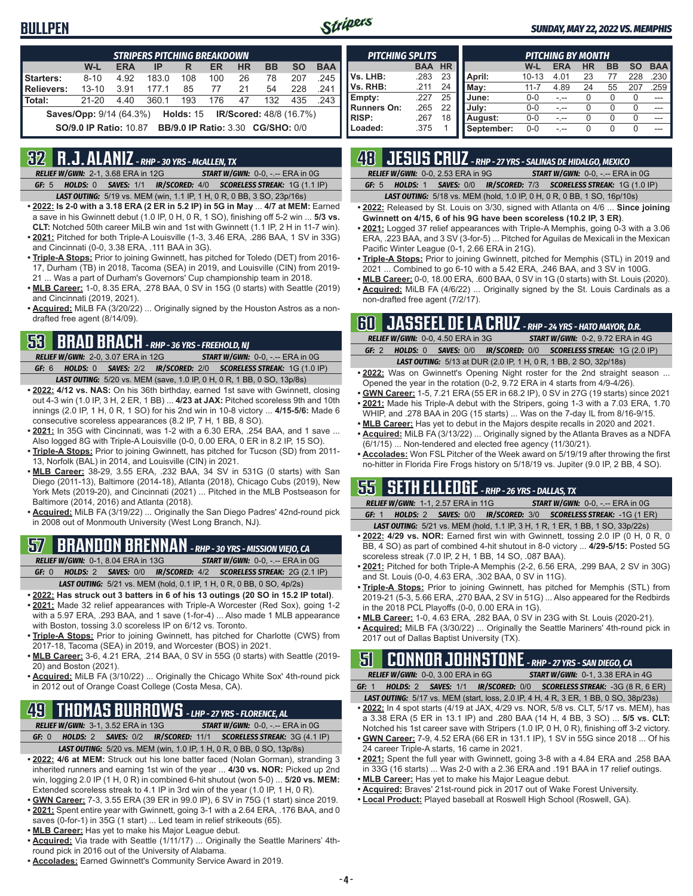### **BULLPEN**



### *SUNDAY, MAY 22, 2022 VS. MEMPHIS*

|                   | <b>STRIPERS PITCHING BREAKDOWN</b> |            |       |     |     |           |                                          |           |            |  |
|-------------------|------------------------------------|------------|-------|-----|-----|-----------|------------------------------------------|-----------|------------|--|
|                   | W-L                                | <b>ERA</b> | IP    | R   | ER  | <b>HR</b> | <b>BB</b>                                | <b>SO</b> | <b>BAA</b> |  |
| Starters:         | $8 - 10$                           | 4.92       | 183.0 | 108 | 100 | 26        | 78                                       | 207       | .245       |  |
| <b>Relievers:</b> | $13 - 10$                          | 3.91       | 177.1 | 85  | 77  | 21        | 54                                       | 228       | 241        |  |
| Total:            | $21 - 20$                          | 4.40       | 360.1 | 193 | 176 | 47        | 132                                      | 435       | .243       |  |
|                   | <b>Saves/Opp: 9/14 (64.3%)</b>     |            |       |     |     |           | <b>Holds: 15 IR/Scored: 48/8 (16.7%)</b> |           |            |  |
|                   | <b>SO/9.0 IP Ratio: 10.87</b>      |            |       |     |     |           | <b>BB/9.0 IP Ratio: 3.30 CG/SHO: 0/0</b> |           |            |  |

### **32 R.J. ALANIZ** *- RHP - 30 YRS - McALLEN, TX*

*RELIEF W/GWN:*2-1, 3.68 ERA in 12G *START W/GWN:*0-0, -.-- ERA in 0G *GF:*5 *HOLDS:*0 *SAVES:*1/1 *IR/SCORED:*4/0 *SCORELESS STREAK:*1G (1.1 IP)

- *LAST OUTING:*5/19 vs. MEM (win, 1.1 IP, 1 H, 0 R, 0 BB, 3 SO, 23p/16s) **• 2022: Is 2-0 with a 3.18 ERA (2 ER in 5.2 IP) in 5G in May** ... **4/7 at MEM:** Earned
- a save in his Gwinnett debut (1.0 IP, 0 H, 0 R, 1 SO), finishing off 5-2 win ... **5/3 vs. CLT:** Notched 50th career MiLB win and 1st with Gwinnett (1.1 IP, 2 H in 11-7 win).
- **• 2021:** Pitched for both Triple-A Louisville (1-3, 3.46 ERA, .286 BAA, 1 SV in 33G) and Cincinnati (0-0, 3.38 ERA, .111 BAA in 3G).
- **• Triple-A Stops:** Prior to joining Gwinnett, has pitched for Toledo (DET) from 2016- 17, Durham (TB) in 2018, Tacoma (SEA) in 2019, and Louisville (CIN) from 2019- 21 ... Was a part of Durham's Governors' Cup championship team in 2018.
- **• MLB Career:** 1-0, 8.35 ERA, .278 BAA, 0 SV in 15G (0 starts) with Seattle (2019) and Cincinnati (2019, 2021).
- **• Acquired:** MiLB FA (3/20/22) ... Originally signed by the Houston Astros as a nondrafted free agent (8/14/09).

### **53 BRAD BRACH** *- RHP - 36 YRS - FREEHOLD, NJ*

*RELIEF W/GWN:*2-0, 3.07 ERA in 12G *START W/GWN:*0-0, -.-- ERA in 0G *GF:*6 *HOLDS:*0 *SAVES:*2/2 *IR/SCORED:*2/0 *SCORELESS STREAK:*1G (1.0 IP) *LAST OUTING:*5/20 vs. MEM (save, 1.0 IP, 0 H, 0 R, 1 BB, 0 SO, 13p/8s)

- **• 2022: 4/12 vs. NAS:** On his 36th birthday, earned 1st save with Gwinnett, closing out 4-3 win (1.0 IP, 3 H, 2 ER, 1 BB) ... **4/23 at JAX:** Pitched scoreless 9th and 10th innings (2.0 IP, 1 H, 0 R, 1 SO) for his 2nd win in 10-8 victory ... **4/15-5/6:** Made 6 consecutive scoreless appearances (8.2 IP, 7 H, 1 BB, 8 SO).
- **• 2021:** In 35G with Cincinnati, was 1-2 with a 6.30 ERA, .254 BAA, and 1 save ... Also logged 8G with Triple-A Louisville (0-0, 0.00 ERA, 0 ER in 8.2 IP, 15 SO).
- **• Triple-A Stops:** Prior to joining Gwinnett, has pitched for Tucson (SD) from 2011- 13, Norfolk (BAL) in 2014, and Louisville (CIN) in 2021.
- **• MLB Career:** 38-29, 3.55 ERA, .232 BAA, 34 SV in 531G (0 starts) with San Diego (2011-13), Baltimore (2014-18), Atlanta (2018), Chicago Cubs (2019), New York Mets (2019-20), and Cincinnati (2021) ... Pitched in the MLB Postseason for Baltimore (2014, 2016) and Atlanta (2018).
- **• Acquired:** MiLB FA (3/19/22) ... Originally the San Diego Padres' 42nd-round pick in 2008 out of Monmouth University (West Long Branch, NJ).

# **57 BRANDON BRENNAN** *- RHP - 30 YRS - MISSION VIEJO, CA*

*RELIEF W/GWN:*0-1, 8.04 ERA in 13G *START W/GWN:*0-0, -.-- ERA in 0G

- *GF:*0 *HOLDS:*2 *SAVES:*0/0 *IR/SCORED:*4/2 *SCORELESS STREAK:*2G (2.1 IP) *LAST OUTING:*5/21 vs. MEM (hold, 0.1 IP, 1 H, 0 R, 0 BB, 0 SO, 4p/2s)
- **• 2022: Has struck out 3 batters in 6 of his 13 outings (20 SO in 15.2 IP total)**.
- **• 2021:** Made 32 relief appearances with Triple-A Worcester (Red Sox), going 1-2 with a 5.97 ERA, .293 BAA, and 1 save (1-for-4) ... Also made 1 MLB appearance with Boston, tossing 3.0 scoreless IP on 6/12 vs. Toronto.
- **• Triple-A Stops:** Prior to joining Gwinnett, has pitched for Charlotte (CWS) from 2017-18, Tacoma (SEA) in 2019, and Worcester (BOS) in 2021.
- **• MLB Career:** 3-6, 4.21 ERA, .214 BAA, 0 SV in 55G (0 starts) with Seattle (2019- 20) and Boston (2021).
- **• Acquired:** MiLB FA (3/10/22) ... Originally the Chicago White Sox' 4th-round pick in 2012 out of Orange Coast College (Costa Mesa, CA).

# **49 THOMAS BURROWS** *- LHP - 27 YRS - FLORENCE, AL*

*RELIEF W/GWN:*3-1, 3.52 ERA in 13G *START W/GWN:*0-0, -.-- ERA in 0G *GF:*0 *HOLDS:*2 *SAVES:*0/2 *IR/SCORED:*11/1 *SCORELESS STREAK:*3G (4.1 IP)

- *LAST OUTING:*5/20 vs. MEM (win, 1.0 IP, 1 H, 0 R, 0 BB, 0 SO, 13p/8s)
- **• 2022: 4/6 at MEM:** Struck out his lone batter faced (Nolan Gorman), stranding 3 inherited runners and earning 1st win of the year ... **4/30 vs. NOR:** Picked up 2nd win, logging 2.0 IP (1 H, 0 R) in combined 6-hit shutout (won 5-0) ... **5/20 vs. MEM:** Extended scoreless streak to 4.1 IP in 3rd win of the year (1.0 IP, 1 H, 0 R).
- **• GWN Career:** 7-3, 3.55 ERA (39 ER in 99.0 IP), 6 SV in 75G (1 start) since 2019.
- **• 2021:** Spent entire year with Gwinnett, going 3-1 with a 2.64 ERA, .176 BAA, and 0 saves (0-for-1) in 35G (1 start) ... Led team in relief strikeouts (65).
- **• MLB Career:** Has yet to make his Major League debut.
- **• Acquired:** Via trade with Seattle (1/11/17) ... Originally the Seattle Mariners' 4thround pick in 2016 out of the University of Alabama.
- **• Accolades:** Earned Gwinnett's Community Service Award in 2019.

| <b>PITCHING SPLITS</b> |            |           |            | <b>PITCHING BY MONTH</b> |            |    |    |     |            |  |  |
|------------------------|------------|-----------|------------|--------------------------|------------|----|----|-----|------------|--|--|
|                        | <b>BAA</b> | <b>HR</b> |            | W-L                      | <b>ERA</b> | HR | BB | SΟ  | <b>BAA</b> |  |  |
| Vs. LHB:               | .283       | 23        | April:     | $10 - 13$                | 4.01       | 23 |    | 228 | .230       |  |  |
| Vs. RHB:               | .211       | 24        | Mav:       | $11 - 7$                 | 4.89       | 24 | 55 | 207 | 259        |  |  |
| Empty:                 | .227       | 25        | June:      | 0-0                      |            |    |    |     |            |  |  |
| <b>Runners On:</b>     | .265       | 22        | July:      | $0 - 0$                  |            |    |    |     |            |  |  |
| <b>RISP:</b>           | .267       | 18        | August:    | $0 - 0$                  |            |    |    |     |            |  |  |
| Loaded:                | .375       |           | September: | $0 - 0$                  |            |    | 0  |     |            |  |  |

# **48 JESUS CRUZ** *- RHP - 27 YRS - SALINAS DE HIDALGO, MEXICO*

*RELIEF W/GWN:*0-0, 2.53 ERA in 9G *START W/GWN:*0-0, -.-- ERA in 0G *GF:*5 *HOLDS:*1 *SAVES:*0/0 *IR/SCORED:*7/3 *SCORELESS STREAK:*1G (1.0 IP)

*LAST OUTING:*5/18 vs. MEM (hold, 1.0 IP, 0 H, 0 R, 0 BB, 1 SO, 16p/10s)

- **• 2022:** Released by St. Louis on 3/30, signed with Atlanta on 4/6 ... **Since joining Gwinnett on 4/15, 6 of his 9G have been scoreless (10.2 IP, 3 ER)**.
- **• 2021:** Logged 37 relief appearances with Triple-A Memphis, going 0-3 with a 3.06 ERA, .223 BAA, and 3 SV (3-for-5) ... Pitched for Aguilas de Mexicali in the Mexican Pacific Winter League (0-1, 2.66 ERA in 21G).
- **• Triple-A Stops:** Prior to joining Gwinnett, pitched for Memphis (STL) in 2019 and 2021 ... Combined to go 6-10 with a 5.42 ERA, .246 BAA, and 3 SV in 100G.
- **• MLB Career:** 0-0, 18.00 ERA, .600 BAA, 0 SV in 1G (0 starts) with St. Louis (2020). **• Acquired:** MiLB FA (4/6/22) ... Originally signed by the St. Louis Cardinals as a
- non-drafted free agent (7/2/17).

## **60 JASSEEL DE LA CRUZ** *- RHP - 24 YRS - HATO MAYOR, D.R.*

|         | RELIEF W/GWN: 0-0, 4.50 ERA in 3G | <b>START W/GWN: 0-2, 9.72 ERA in 4G</b>                                 |
|---------|-----------------------------------|-------------------------------------------------------------------------|
| GF: $2$ |                                   | HOLDS: 0 SAVES: 0/0 IR/SCORED: 0/0 SCORELESS STREAK: 1G (2.0 IP)        |
|         |                                   | <b>LAST OUTING:</b> 5/13 at DUR (2.0 IP, 1 H, 0 R, 1 BB, 2 SO, 32p/18s) |

- **• 2022:** Was on Gwinnett's Opening Night roster for the 2nd straight season ... Opened the year in the rotation (0-2, 9.72 ERA in 4 starts from 4/9-4/26).
- **• GWN Career:** 1-5, 7.21 ERA (55 ER in 68.2 IP), 0 SV in 27G (19 starts) since 2021 **• 2021:** Made his Triple-A debut with the Stripers, going 1-3 with a 7.03 ERA, 1.70
- WHIP, and .278 BAA in 20G (15 starts) ... Was on the 7-day IL from 8/16-9/15. **• MLB Career:** Has yet to debut in the Majors despite recalls in 2020 and 2021.
- **• Acquired:** MiLB FA (3/13/22) ... Originally signed by the Atlanta Braves as a NDFA (6/1/15) ... Non-tendered and elected free agency (11/30/21).
- **• Accolades:** Won FSL Pitcher of the Week award on 5/19/19 after throwing the first no-hitter in Florida Fire Frogs history on 5/18/19 vs. Jupiter (9.0 IP, 2 BB, 4 SO).

### **55 SETH ELLEDGE** *- RHP - 26 YRS - DALLAS, TX*

*RELIEF W/GWN:*1-1, 2.57 ERA in 11G *START W/GWN:*0-0, -.-- ERA in 0G *GF:*1 *HOLDS:*2 *SAVES:*0/0 *IR/SCORED:*3/0 *SCORELESS STREAK:*-1G (1 ER) *LAST OUTING:*5/21 vs. MEM (hold, 1.1 IP, 3 H, 1 R, 1 ER, 1 BB, 1 SO, 33p/22s)

- **• 2022: 4/29 vs. NOR:** Earned first win with Gwinnett, tossing 2.0 IP (0 H, 0 R, 0 BB, 4 SO) as part of combined 4-hit shutout in 8-0 victory ... **4/29-5/15:** Posted 5G scoreless streak (7.0 IP, 2 H, 1 BB, 14 SO, .087 BAA).
- **• 2021:** Pitched for both Triple-A Memphis (2-2, 6.56 ERA, .299 BAA, 2 SV in 30G) and St. Louis (0-0, 4.63 ERA, .302 BAA, 0 SV in 11G).
- **• Triple-A Stops:** Prior to joining Gwinnett, has pitched for Memphis (STL) from 2019-21 (5-3, 5.66 ERA, .270 BAA, 2 SV in 51G) ... Also appeared for the Redbirds in the 2018 PCL Playoffs (0-0, 0.00 ERA in 1G).
- **• MLB Career:** 1-0, 4.63 ERA, .282 BAA, 0 SV in 23G with St. Louis (2020-21).
- **• Acquired:** MiLB FA (3/30/22) ... Originally the Seattle Mariners' 4th-round pick in 2017 out of Dallas Baptist University (TX).

# **51 CONNOR JOHNSTONE** *- RHP - 27 YRS - SAN DIEGO, CA*

*RELIEF W/GWN:*0-0, 3.00 ERA in 6G *START W/GWN:*0-1, 3.38 ERA in 4G *GF:*1 *HOLDS:*2 *SAVES:*1/1 *IR/SCORED:*0/0 *SCORELESS STREAK:*-3G (8 R, 6 ER)

- *LAST OUTING:*5/17 vs. MEM (start, loss, 2.0 IP, 4 H, 4 R, 3 ER, 1 BB, 0 SO, 38p/23s) **• 2022:** In 4 spot starts (4/19 at JAX, 4/29 vs. NOR, 5/8 vs. CLT, 5/17 vs. MEM), has a 3.38 ERA (5 ER in 13.1 IP) and .280 BAA (14 H, 4 BB, 3 SO) ... **5/5 vs. CLT:**  Notched his 1st career save with Stripers (1.0 IP, 0 H, 0 R), finishing off 3-2 victory.
- **• GWN Career:** 7-9, 4.52 ERA (66 ER in 131.1 IP), 1 SV in 55G since 2018 ... Of his 24 career Triple-A starts, 16 came in 2021.
- **• 2021:** Spent the full year with Gwinnett, going 3-8 with a 4.84 ERA and .258 BAA in 33G (16 starts) ... Was 2-0 with a 2.36 ERA and .191 BAA in 17 relief outings.
- **• MLB Career:** Has yet to make his Major League debut.
- **• Acquired:** Braves' 21st-round pick in 2017 out of Wake Forest University.
- **• Local Product:** Played baseball at Roswell High School (Roswell, GA).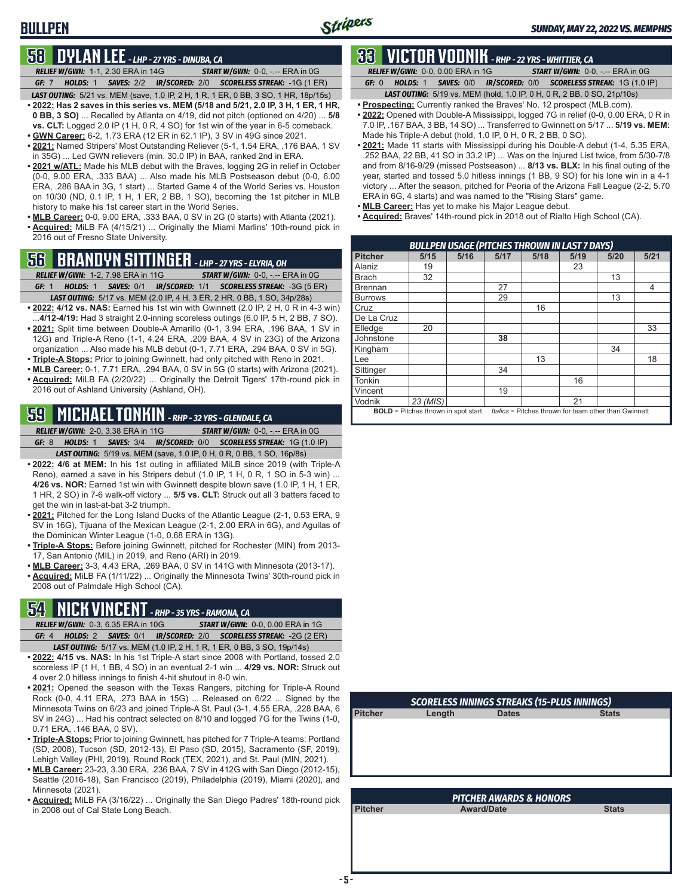# **58 DYLAN LEE** *- LHP - 27 YRS - DINUBA, CA*

**BULLPEN**

*RELIEF W/GWN:*1-1, 2.30 ERA in 14G *START W/GWN:*0-0, -.-- ERA in 0G

*GF:*7 *HOLDS:*1 *SAVES:*2/2 *IR/SCORED:*2/0 *SCORELESS STREAK:*-1G (1 ER)

- *LAST OUTING:*5/21 vs. MEM (save, 1.0 IP, 2 H, 1 R, 1 ER, 0 BB, 3 SO, 1 HR, 18p/15s) **• 2022: Has 2 saves in this series vs. MEM (5/18 and 5/21, 2.0 IP, 3 H, 1 ER, 1 HR, 0 BB, 3 SO)** ... Recalled by Atlanta on 4/19, did not pitch (optioned on 4/20) ... **5/8 vs. CLT:** Logged 2.0 IP (1 H, 0 R, 4 SO) for 1st win of the year in 6-5 comeback.
- **• GWN Career:** 6-2, 1.73 ERA (12 ER in 62.1 IP), 3 SV in 49G since 2021.
- **• 2021:** Named Stripers' Most Outstanding Reliever (5-1, 1.54 ERA, .176 BAA, 1 SV in 35G) ... Led GWN relievers (min. 30.0 IP) in BAA, ranked 2nd in ERA.
- **• 2021 w/ATL:** Made his MLB debut with the Braves, logging 2G in relief in October (0-0, 9.00 ERA, .333 BAA) ... Also made his MLB Postseason debut (0-0, 6.00 ERA, .286 BAA in 3G, 1 start) ... Started Game 4 of the World Series vs. Houston on 10/30 (ND, 0.1 IP, 1 H, 1 ER, 2 BB, 1 SO), becoming the 1st pitcher in MLB history to make his 1st career start in the World Series.
- **• MLB Career:** 0-0, 9.00 ERA, .333 BAA, 0 SV in 2G (0 starts) with Atlanta (2021). **• Acquired:** MiLB FA (4/15/21) ... Originally the Miami Marlins' 10th-round pick in 2016 out of Fresno State University.

### **56 BRANDYN SITTINGER** *- LHP - 27 YRS - ELYRIA, OH*

*RELIEF W/GWN:*1-2, 7.98 ERA in 11G *START W/GWN:*0-0, -.-- ERA in 0G

- *GF:*1 *HOLDS:*1 *SAVES:*0/1 *IR/SCORED:*1/1 *SCORELESS STREAK:*-3G (5 ER) *LAST OUTING:*5/17 vs. MEM (2.0 IP, 4 H, 3 ER, 2 HR, 0 BB, 1 SO, 34p/28s)
- **• 2022: 4/12 vs. NAS:** Earned his 1st win with Gwinnett (2.0 IP, 2 H, 0 R in 4-3 win) ...**4/12-4/19:** Had 3 straight 2.0-inning scoreless outings (6.0 IP, 5 H, 2 BB, 7 SO).
- **• 2021:** Split time between Double-A Amarillo (0-1, 3.94 ERA, .196 BAA, 1 SV in 12G) and Triple-A Reno (1-1, 4.24 ERA, .209 BAA, 4 SV in 23G) of the Arizona organization ... Also made his MLB debut (0-1, 7.71 ERA, .294 BAA, 0 SV in 5G).
- **• Triple-A Stops:** Prior to joining Gwinnett, had only pitched with Reno in 2021.
- **• MLB Career:** 0-1, 7.71 ERA, .294 BAA, 0 SV in 5G (0 starts) with Arizona (2021). **• Acquired:** MiLB FA (2/20/22) ... Originally the Detroit Tigers' 17th-round pick in 2016 out of Ashland University (Ashland, OH).

# **59 MICHAEL TONKIN** *- RHP - 32 YRS - GLENDALE, CA*

*RELIEF W/GWN:*2-0, 3.38 ERA in 11G *START W/GWN:*0-0, -.-- ERA in 0G *GF:*8 *HOLDS:*1 *SAVES:*3/4 *IR/SCORED:*0/0 *SCORELESS STREAK:*1G (1.0 IP)

*LAST OUTING:*5/19 vs. MEM (save, 1.0 IP, 0 H, 0 R, 0 BB, 1 SO, 16p/8s)

- **• 2022: 4/6 at MEM:** In his 1st outing in affiliated MiLB since 2019 (with Triple-A Reno), earned a save in his Stripers debut (1.0 IP, 1 H, 0 R, 1 SO in 5-3 win) ... **4/26 vs. NOR:** Earned 1st win with Gwinnett despite blown save (1.0 IP, 1 H, 1 ER, 1 HR, 2 SO) in 7-6 walk-off victory ... **5/5 vs. CLT:** Struck out all 3 batters faced to get the win in last-at-bat 3-2 triumph.
- **• 2021:** Pitched for the Long Island Ducks of the Atlantic League (2-1, 0.53 ERA, 9 SV in 16G), Tijuana of the Mexican League (2-1, 2.00 ERA in 6G), and Aguilas of the Dominican Winter League (1-0, 0.68 ERA in 13G).
- **• Triple-A Stops:** Before joining Gwinnett, pitched for Rochester (MIN) from 2013- 17, San Antonio (MIL) in 2019, and Reno (ARI) in 2019.
- **• MLB Career:** 3-3, 4.43 ERA, .269 BAA, 0 SV in 141G with Minnesota (2013-17).
- **• Acquired:** MiLB FA (1/11/22) ... Originally the Minnesota Twins' 30th-round pick in 2008 out of Palmdale High School (CA).

# **54 NICK VINCENT** *- RHP - 35 YRS - RAMONA, CA*

- *RELIEF W/GWN:*0-3, 6.35 ERA in 10G *START W/GWN:*0-0, 0.00 ERA in 1G *GF:*4 *HOLDS:*2 *SAVES:*0/1 *IR/SCORED:*2/0 *SCORELESS STREAK:*-2G (2 ER) *LAST OUTING:*5/17 vs. MEM (1.0 IP, 2 H, 1 R, 1 ER, 0 BB, 3 SO, 19p/14s)
- **• 2022: 4/15 vs. NAS:** In his 1st Triple-A start since 2008 with Portland, tossed 2.0 scoreless IP (1 H, 1 BB, 4 SO) in an eventual 2-1 win ... **4/29 vs. NOR:** Struck out 4 over 2.0 hitless innings to finish 4-hit shutout in 8-0 win.
- **• 2021:** Opened the season with the Texas Rangers, pitching for Triple-A Round Rock (0-0, 4.11 ERA, .273 BAA in 15G) ... Released on 6/22 ... Signed by the Minnesota Twins on 6/23 and joined Triple-A St. Paul (3-1, 4.55 ERA, .228 BAA, 6 SV in 24G) ... Had his contract selected on 8/10 and logged 7G for the Twins (1-0, 0.71 ERA, .146 BAA, 0 SV).
- **• Triple-A Stops:** Prior to joining Gwinnett, has pitched for 7 Triple-A teams: Portland (SD, 2008), Tucson (SD, 2012-13), El Paso (SD, 2015), Sacramento (SF, 2019), Lehigh Valley (PHI, 2019), Round Rock (TEX, 2021), and St. Paul (MIN, 2021).
- **• MLB Career:** 23-23, 3.30 ERA, .236 BAA, 7 SV in 412G with San Diego (2012-15), Seattle (2016-18), San Francisco (2019), Philadelphia (2019), Miami (2020), and Minnesota (2021).
- **• Acquired:** MiLB FA (3/16/22) ... Originally the San Diego Padres' 18th-round pick in 2008 out of Cal State Long Beach.

### **33 VICTOR VODNIK** *- RHP - 22 YRS - WHITTIER, CA*

*RELIEF W/GWN:*0-0, 0.00 ERA in 1G *START W/GWN:*0-0, -.-- ERA in 0G

*GF:*0 *HOLDS:*1 *SAVES:*0/0 *IR/SCORED:*0/0 *SCORELESS STREAK:*1G (1.0 IP)

- *LAST OUTING:*5/19 vs. MEM (hold, 1.0 IP, 0 H, 0 R, 2 BB, 0 SO, 21p/10s) **• Prospecting:** Currently ranked the Braves' No. 12 prospect (MLB.com).
- **• 2022:** Opened with Double-A Mississippi, logged 7G in relief (0-0, 0.00 ERA, 0 R in 7.0 IP, .167 BAA, 3 BB, 14 SO) ... Transferred to Gwinnett on 5/17 ... **5/19 vs. MEM:** Made his Triple-A debut (hold, 1.0 IP, 0 H, 0 R, 2 BB, 0 SO).
- **• 2021:** Made 11 starts with Mississippi during his Double-A debut (1-4, 5.35 ERA, .252 BAA, 22 BB, 41 SO in 33.2 IP) ... Was on the Injured List twice, from 5/30-7/8 and from 8/16-9/29 (missed Postseason) ... **8/13 vs. BLX:** In his final outing of the year, started and tossed 5.0 hitless innings (1 BB, 9 SO) for his lone win in a 4-1 victory ... After the season, pitched for Peoria of the Arizona Fall League (2-2, 5.70 ERA in 6G, 4 starts) and was named to the "Rising Stars" game.
- **• MLB Career:** Has yet to make his Major League debut.
- **• Acquired:** Braves' 14th-round pick in 2018 out of Rialto High School (CA).

|                | <b>BULLPEN USAGE (PITCHES THROWN IN LAST 7 DAYS)</b> |      |      |                                                       |      |      |      |  |  |  |  |
|----------------|------------------------------------------------------|------|------|-------------------------------------------------------|------|------|------|--|--|--|--|
| <b>Pitcher</b> | 5/15                                                 | 5/16 | 5/17 | 5/18                                                  | 5/19 | 5/20 | 5/21 |  |  |  |  |
| Alaniz         | 19                                                   |      |      |                                                       | 23   |      |      |  |  |  |  |
| <b>Brach</b>   | 32                                                   |      |      |                                                       |      | 13   |      |  |  |  |  |
| <b>Brennan</b> |                                                      |      | 27   |                                                       |      |      | 4    |  |  |  |  |
| <b>Burrows</b> |                                                      |      | 29   |                                                       |      | 13   |      |  |  |  |  |
| Cruz           |                                                      |      |      | 16                                                    |      |      |      |  |  |  |  |
| De La Cruz     |                                                      |      |      |                                                       |      |      |      |  |  |  |  |
| Elledge        | 20                                                   |      |      |                                                       |      |      | 33   |  |  |  |  |
| Johnstone      |                                                      |      | 38   |                                                       |      |      |      |  |  |  |  |
| Kingham        |                                                      |      |      |                                                       |      | 34   |      |  |  |  |  |
| Lee            |                                                      |      |      | 13                                                    |      |      | 18   |  |  |  |  |
| Sittinger      |                                                      |      | 34   |                                                       |      |      |      |  |  |  |  |
| Tonkin         |                                                      |      |      |                                                       | 16   |      |      |  |  |  |  |
| Vincent        |                                                      |      | 19   |                                                       |      |      |      |  |  |  |  |
| Vodnik         | 23 (MIS)                                             |      |      |                                                       | 21   |      |      |  |  |  |  |
|                | <b>BOLD</b> = Pitches thrown in spot start           |      |      | Italics = Pitches thrown for team other than Gwinnett |      |      |      |  |  |  |  |

|                | <b>SCORELESS INNINGS STREAKS (15-PLUS INNINGS)</b> |              |              |  |  |  |  |  |  |  |  |  |
|----------------|----------------------------------------------------|--------------|--------------|--|--|--|--|--|--|--|--|--|
| <b>Pitcher</b> | Length                                             | <b>Dates</b> | <b>Stats</b> |  |  |  |  |  |  |  |  |  |
|                |                                                    |              |              |  |  |  |  |  |  |  |  |  |
|                |                                                    |              |              |  |  |  |  |  |  |  |  |  |
|                |                                                    |              |              |  |  |  |  |  |  |  |  |  |
|                |                                                    |              |              |  |  |  |  |  |  |  |  |  |
|                |                                                    |              |              |  |  |  |  |  |  |  |  |  |
|                |                                                    |              |              |  |  |  |  |  |  |  |  |  |
|                |                                                    |              |              |  |  |  |  |  |  |  |  |  |

| <b>PITCHER AWARDS &amp; HONORS</b> |                   |              |  |  |  |  |  |  |  |  |
|------------------------------------|-------------------|--------------|--|--|--|--|--|--|--|--|
| <b>Pitcher</b>                     | <b>Award/Date</b> | <b>Stats</b> |  |  |  |  |  |  |  |  |
|                                    |                   |              |  |  |  |  |  |  |  |  |
|                                    |                   |              |  |  |  |  |  |  |  |  |
|                                    |                   |              |  |  |  |  |  |  |  |  |
|                                    |                   |              |  |  |  |  |  |  |  |  |
|                                    |                   |              |  |  |  |  |  |  |  |  |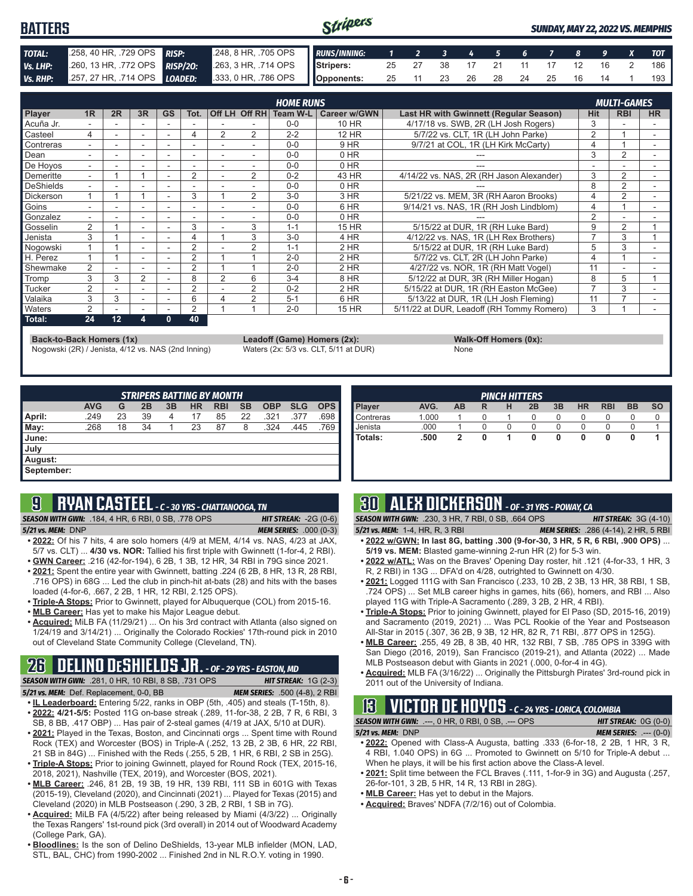#### Stripers **BATTERS** *SUNDAY, MAY 22, 2022 VS. MEMPHIS TOTAL:* .258, 40 HR, .729 OPS *RISP:* .248, 8 HR, .705 OPS *RUNS/INNING: 1 2 3 4 5 6 7 8 9 X TOT Vs. LHP:* .260, 13 HR, .772 OPS *RISP/2O:* .263, 3 HR, .714 OPS **Stripers:** 25 27 38 17 21 11 17 12 16 2 186 *Vs. RHP:* .257, 27 HR, .714 OPS *LOADED:* .333, 0 HR, .786 OPS **Opponents:** 25 11 23 26 28 24 25 16 14 1 193

|                  |                          |    |                          |           |                |                          |                | <b>HOME RUNS</b> |                     |                                               |                | <b>MULTI-GAMES</b> |           |
|------------------|--------------------------|----|--------------------------|-----------|----------------|--------------------------|----------------|------------------|---------------------|-----------------------------------------------|----------------|--------------------|-----------|
| Player           | 1 <sub>R</sub>           | 2R | 3R                       | <b>GS</b> | Tot.           |                          | Off LH Off RH  | Team W-L         | <b>Career w/GWN</b> | <b>Last HR with Gwinnett (Regular Season)</b> | <b>Hit</b>     | <b>RBI</b>         | <b>HR</b> |
| Acuña Jr.        |                          |    |                          |           |                |                          |                | $0 - 0$          | 10 HR               | 4/17/18 vs. SWB, 2R (LH Josh Rogers)          | 3              |                    |           |
| Casteel          | 4                        |    | ۰                        |           | 4              | $\overline{2}$           | 2              | $2 - 2$          | <b>12 HR</b>        | 5/7/22 vs. CLT. 1R (LH John Parke)            | $\overline{2}$ |                    | ۰         |
| Contreras        |                          |    | ۰                        |           |                |                          |                | $0 - 0$          | 9 HR                | 9/7/21 at COL, 1R (LH Kirk McCarty)           |                |                    |           |
| Dean             |                          |    |                          |           |                |                          |                | $0 - 0$          | 0 HR                |                                               | 3              | 2                  |           |
| De Hoyos         | ۰.                       |    |                          |           |                | $\overline{\phantom{a}}$ |                | $0 - 0$          | 0 HR                |                                               |                |                    | ۰         |
| Demeritte        | $\overline{\phantom{0}}$ |    |                          |           | $\overline{2}$ |                          | $\overline{2}$ | $0 - 2$          | 43 HR               | 4/14/22 vs. NAS, 2R (RH Jason Alexander)      | 3              | 2                  |           |
| DeShields        |                          |    |                          |           |                |                          |                | $0 - 0$          | 0 HR                |                                               | 8              | 2                  |           |
| <b>Dickerson</b> |                          |    |                          |           | 3              |                          | $\overline{2}$ | $3-0$            | 3 HR                | 5/21/22 vs. MEM, 3R (RH Aaron Brooks)         | 4              | $\overline{2}$     |           |
| Goins            |                          |    |                          |           |                |                          |                | $0 - 0$          | 6 HR                | 9/14/21 vs. NAS, 1R (RH Josh Lindblom)        |                |                    |           |
| Gonzalez         | $\overline{\phantom{0}}$ |    | $\overline{\phantom{a}}$ |           |                | $\overline{\phantom{a}}$ |                | $0 - 0$          | 0 HR                |                                               | $\overline{2}$ |                    |           |
| Gosselin         | 2                        |    |                          |           | 3              |                          | 3              | $1 - 1$          | 15 HR               | 5/15/22 at DUR, 1R (RH Luke Bard)             | 9              | 2                  |           |
| Jenista          | 3                        |    |                          |           |                |                          | 3              | $3 - 0$          | 4 HR                | 4/12/22 vs. NAS, 1R (LH Rex Brothers)         |                | 3                  |           |
| Nogowski         |                          |    | $\overline{\phantom{a}}$ |           | $\sim$         |                          | $\overline{2}$ | $1 - 1$          | $2$ HR              | 5/15/22 at DUR. 1R (RH Luke Bard)             | 5              | 3                  |           |
| H. Perez         |                          |    | $\overline{\phantom{a}}$ |           | 2              |                          |                | $2 - 0$          | 2 HR                | 5/7/22 vs. CLT, 2R (LH John Parke)            | $\Delta$       |                    |           |
| Shewmake         | 2                        |    |                          |           | 2              |                          |                | $2 - 0$          | $2$ HR              | 4/27/22 vs. NOR, 1R (RH Matt Vogel)           | 11             |                    |           |
| Tromp            | 3                        | 3  | $\overline{2}$           |           | 8              | 2                        | 6              | $3 - 4$          | 8 HR                | 5/12/22 at DUR, 3R (RH Miller Hogan)          | 8              | 5                  |           |
| Tucker           | $\overline{2}$           |    |                          |           | 2              |                          | $\overline{2}$ | $0 - 2$          | 2 HR                | 5/15/22 at DUR, 1R (RH Easton McGee)          |                | 3                  |           |
| Valaika          | 3                        | 3  | ٠                        |           | 6              | 4                        | 2              | $5 - 1$          | 6 HR                | 5/13/22 at DUR, 1R (LH Josh Fleming)          | 11             |                    |           |
| <b>Naters</b>    | 2                        |    | $\overline{\phantom{a}}$ | ۰         | 2              |                          |                | $2 - 0$          | <b>15 HR</b>        | 5/11/22 at DUR. Leadoff (RH Tommy Romero)     | 3              |                    |           |
| Total:           | 24                       | 12 | 4                        | 0         | 40             |                          |                |                  |                     |                                               |                |                    |           |

**Back-to-Back Homers (1x) Leadoff (Game) Homers (2x): Walk-Off Homers (0x): Walk-Off Homers (0x): None None Walk-Off Homers (0x): Walk-Off Homers (0x): Walk-Off Homers (0x): Waters (2x: 5/3 vs. CLT, 5/11 at** Nogowski (2R) / Jenista, 4/12 vs. NAS (2nd Inning)

| $\sqrt{2}$ ll IIVIII <del>c</del> ia II |  |
|-----------------------------------------|--|
| None                                    |  |

| <b>STRIPERS BATTING BY MONTH</b> |            |    |    |    |           |            |           |            |            |            |
|----------------------------------|------------|----|----|----|-----------|------------|-----------|------------|------------|------------|
|                                  | <b>AVG</b> | G  | 2B | 3B | <b>HR</b> | <b>RBI</b> | <b>SB</b> | <b>OBP</b> | <b>SLG</b> | <b>OPS</b> |
| April:                           | .249       | 23 | 39 | 4  | 17        | 85         | 22        | .321       | .377       | .698       |
| May:                             | .268       | 18 | 34 |    | 23        | 87         | 8         | .324       | .445       | .769       |
| June:                            |            |    |    |    |           |            |           |            |            |            |
| July                             |            |    |    |    |           |            |           |            |            |            |
| August:                          |            |    |    |    |           |            |           |            |            |            |
| September:                       |            |    |    |    |           |            |           |            |            |            |

## **9 RYAN CASTEEL** *- C - 30 YRS - CHATTANOOGA, TN*

*SEASON WITH GWN:*.184, 4 HR, 6 RBI, 0 SB, .778 OPS *HIT STREAK:* -2G (0-6)

*5/21 vs. MEM:*DNP *MEM SERIES:* .000 (0-3)

- **• 2022:** Of his 7 hits, 4 are solo homers (4/9 at MEM, 4/14 vs. NAS, 4/23 at JAX, 5/7 vs. CLT) ... **4/30 vs. NOR:** Tallied his first triple with Gwinnett (1-for-4, 2 RBI). **• GWN Career:** .216 (42-for-194), 6 2B, 1 3B, 12 HR, 34 RBI in 79G since 2021.
- **• 2021:** Spent the entire year with Gwinnett, batting .224 (6 2B, 8 HR, 13 R, 28 RBI, .716 OPS) in 68G ... Led the club in pinch-hit at-bats (28) and hits with the bases
- loaded (4-for-6, .667, 2 2B, 1 HR, 12 RBI, 2.125 OPS). **• Triple-A Stops:** Prior to Gwinnett, played for Albuquerque (COL) from 2015-16.
- **• MLB Career:** Has yet to make his Major League debut.
- **• Acquired:** MiLB FA (11/29/21) ... On his 3rd contract with Atlanta (also signed on 1/24/19 and 3/14/21) ... Originally the Colorado Rockies' 17th-round pick in 2010

# out of Cleveland State Community College (Cleveland, TN).

**26 DELINO DESHIELDS JR.** *- OF - 29 YRS - EASTON, MD SEASON WITH GWN:*.281, 0 HR, 10 RBI, 8 SB, .731 OPS *HIT STREAK:* 1G (2-3) *5/21 vs. MEM:*Def. Replacement, 0-0, BB *MEM SERIES:* .500 (4-8), 2 RBI

- **• IL Leaderboard:** Entering 5/22, ranks in OBP (5th, .405) and steals (T-15th, 8). **• 2022: 4/21-5/5:** Posted 11G on-base streak (.289, 11-for-38, 2 2B, 7 R, 6 RBI, 3
- SB, 8 BB, .417 OBP) ... Has pair of 2-steal games (4/19 at JAX, 5/10 at DUR). **• 2021:** Played in the Texas, Boston, and Cincinnati orgs ... Spent time with Round
- Rock (TEX) and Worcester (BOS) in Triple-A (.252, 13 2B, 2 3B, 6 HR, 22 RBI, 21 SB in 84G) ... Finished with the Reds (.255, 5 2B, 1 HR, 6 RBI, 2 SB in 25G). **• Triple-A Stops:** Prior to joining Gwinnett, played for Round Rock (TEX, 2015-16,
- 2018, 2021), Nashville (TEX, 2019), and Worcester (BOS, 2021).
- **• MLB Career:** .246, 81 2B, 19 3B, 19 HR, 139 RBI, 111 SB in 601G with Texas (2015-19), Cleveland (2020), and Cincinnati (2021) ... Played for Texas (2015) and Cleveland (2020) in MLB Postseason (.290, 3 2B, 2 RBI, 1 SB in 7G).
- **• Acquired:** MiLB FA (4/5/22) after being released by Miami (4/3/22) ... Originally the Texas Rangers' 1st-round pick (3rd overall) in 2014 out of Woodward Academy (College Park, GA).
- **• Bloodlines:** Is the son of Delino DeShields, 13-year MLB infielder (MON, LAD, STL, BAL, CHC) from 1990-2002 ... Finished 2nd in NL R.O.Y. voting in 1990.

|                  |       |           |   |   | <b>PINCH HITTERS</b> |    |           |            |           |           |
|------------------|-------|-----------|---|---|----------------------|----|-----------|------------|-----------|-----------|
| <b>Player</b>    | AVG.  | <b>AB</b> | R | н | 2B                   | 3B | <b>HR</b> | <b>RBI</b> | <b>BB</b> | <b>SO</b> |
| <b>Contreras</b> | 1.000 |           |   |   | 0                    | 0  | O         |            | O         |           |
| Uenista          | .000  |           |   |   | 0                    |    |           |            |           |           |
| l Totals:        | .500  |           |   |   | 0                    | 0  | 0         | 0          | O         |           |
|                  |       |           |   |   |                      |    |           |            |           |           |
|                  |       |           |   |   |                      |    |           |            |           |           |

# **30 ALEX DICKERSON** *- OF - 31 YRS - POWAY, CA*

*SEASON WITH GWN:*.230, 3 HR, 7 RBI, 0 SB, .664 OPS *HIT STREAK:* 3G (4-10)

- *5/21 vs. MEM:*1-4, HR, R, 3 RBI *MEM SERIES:* .286 (4-14), 2 HR, 5 RBI **• 2022 w/GWN: In last 8G, batting .300 (9-for-30, 3 HR, 5 R, 6 RBI, .900 OPS)** ... **5/19 vs. MEM:** Blasted game-winning 2-run HR (2) for 5-3 win.
- **• 2022 w/ATL:** Was on the Braves' Opening Day roster, hit .121 (4-for-33, 1 HR, 3 R, 2 RBI) in 13G ... DFA'd on 4/28, outrighted to Gwinnett on 4/30.
- **• 2021:** Logged 111G with San Francisco (.233, 10 2B, 2 3B, 13 HR, 38 RBI, 1 SB, .724 OPS) ... Set MLB career highs in games, hits (66), homers, and RBI ... Also played 11G with Triple-A Sacramento (.289, 3 2B, 2 HR, 4 RBI).
- **• Triple-A Stops:** Prior to joining Gwinnett, played for El Paso (SD, 2015-16, 2019) and Sacramento (2019, 2021) ... Was PCL Rookie of the Year and Postseason All-Star in 2015 (.307, 36 2B, 9 3B, 12 HR, 82 R, 71 RBI, .877 OPS in 125G).
- **• MLB Career:** .255, 49 2B, 8 3B, 40 HR, 132 RBI, 7 SB, .785 OPS in 339G with San Diego (2016, 2019), San Francisco (2019-21), and Atlanta (2022) ... Made MLB Postseason debut with Giants in 2021 (.000, 0-for-4 in 4G).
- **• Acquired:** MLB FA (3/16/22) ... Originally the Pittsburgh Pirates' 3rd-round pick in 2011 out of the University of Indiana.

# **13 VICTOR DE HOYOS** *- C - 24 YRS - LORICA, COLOMBIA*

**SEASON WITH GWN:** .---, 0 HR, 0 RBI, 0 SB, .--- OPS

*5/21 vs. MEM:*DNP *MEM SERIES:* .--- (0-0) **• 2022:** Opened with Class-A Augusta, batting .333 (6-for-18, 2 2B, 1 HR, 3 R,

- 4 RBI, 1.040 OPS) in 6G ... Promoted to Gwinnett on 5/10 for Triple-A debut ... When he plays, it will be his first action above the Class-A level.
- **• 2021:** Split time between the FCL Braves (.111, 1-for-9 in 3G) and Augusta (.257, 26-for-101, 3 2B, 5 HR, 14 R, 13 RBI in 28G).
- **• MLB Career:** Has yet to debut in the Majors.
- **• Acquired:** Braves' NDFA (7/2/16) out of Colombia.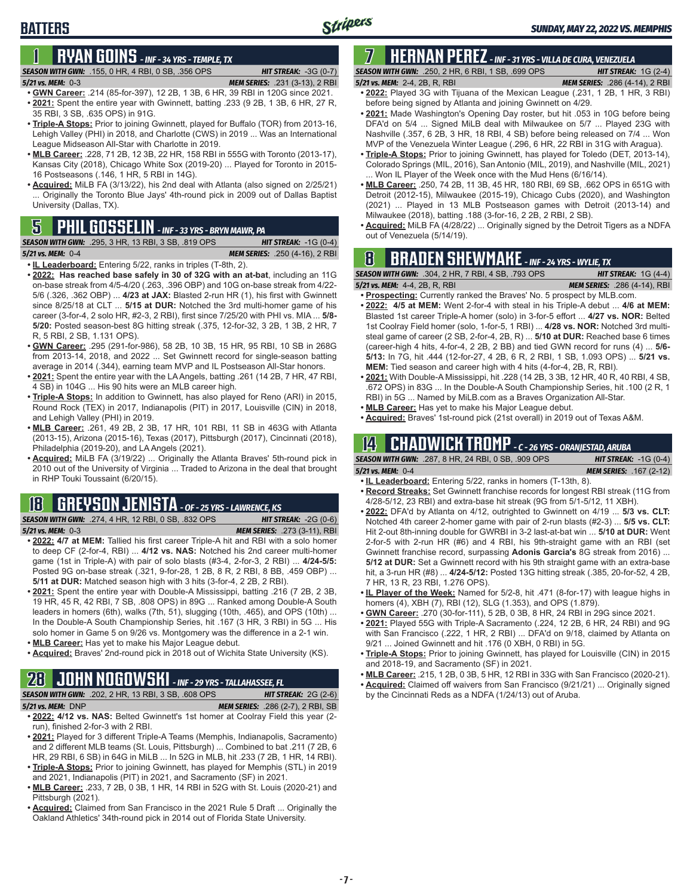### **BATTERS**

# **1 RYAN GOINS** *- INF - 34 YRS - TEMPLE, TX*

### *SEASON WITH GWN:*.155, 0 HR, 4 RBI, 0 SB, .356 OPS *HIT STREAK:* -3G (0-7)

- *5/21 vs. MEM:*0-3 *MEM SERIES:* .231 (3-13), 2 RBI **• GWN Career:** .214 (85-for-397), 12 2B, 1 3B, 6 HR, 39 RBI in 120G since 2021. **• 2021:** Spent the entire year with Gwinnett, batting .233 (9 2B, 1 3B, 6 HR, 27 R,
- 35 RBI, 3 SB, .635 OPS) in 91G. **• Triple-A Stops:** Prior to joining Gwinnett, played for Buffalo (TOR) from 2013-16, Lehigh Valley (PHI) in 2018, and Charlotte (CWS) in 2019 ... Was an International League Midseason All-Star with Charlotte in 2019.
- **• MLB Career:** .228, 71 2B, 12 3B, 22 HR, 158 RBI in 555G with Toronto (2013-17), Kansas City (2018), Chicago White Sox (2019-20) ... Played for Toronto in 2015- 16 Postseasons (.146, 1 HR, 5 RBI in 14G).
- **• Acquired:** MiLB FA (3/13/22), his 2nd deal with Atlanta (also signed on 2/25/21) ... Originally the Toronto Blue Jays' 4th-round pick in 2009 out of Dallas Baptist University (Dallas, TX).

# **OUT ON THE GOSSELIN** *- INF - 33 YRS - BRYN MAWR, PA* **COLL CONSTREAGE (5/14/19). 5 FA (4/28/28)**<br>**5 FASON WITH GWN:** .295, 3 HR, 13 RBI, 3 SB, .819 OPS **HIT STREAK:** -1G (0-4) out of Venezuela (5/14/19).

```
SEASON WITH GWN: .295, 3 HR, 13 RBI, 3 SB, .819 OPS HIT STREAK: -1G (0-4)
```
*5/21 vs. MEM:*0-4 *MEM SERIES:* .250 (4-16), 2 RBI

**• IL Leaderboard:** Entering 5/22, ranks in triples (T-8th, 2).

- **• 2022: Has reached base safely in 30 of 32G with an at-bat**, including an 11G on-base streak from 4/5-4/20 (.263, .396 OBP) and 10G on-base streak from 4/22- 5/6 (.326, .362 OBP) ... **4/23 at JAX:** Blasted 2-run HR (1), his first with Gwinnett since 8/25/18 at CLT ... **5/15 at DUR:** Notched the 3rd multi-homer game of his career (3-for-4, 2 solo HR, #2-3, 2 RBI), first since 7/25/20 with PHI vs. MIA ... **5/8- 5/20:** Posted season-best 8G hitting streak (.375, 12-for-32, 3 2B, 1 3B, 2 HR, 7 R, 5 RBI, 2 SB, 1.131 OPS).
- **• GWN Career:** .295 (291-for-986), 58 2B, 10 3B, 15 HR, 95 RBI, 10 SB in 268G from 2013-14, 2018, and 2022 ... Set Gwinnett record for single-season batting average in 2014 (.344), earning team MVP and IL Postseason All-Star honors.
- **• 2021:** Spent the entire year with the LA Angels, batting .261 (14 2B, 7 HR, 47 RBI, 4 SB) in 104G ... His 90 hits were an MLB career high.
- **• Triple-A Stops:** In addition to Gwinnett, has also played for Reno (ARI) in 2015, Round Rock (TEX) in 2017, Indianapolis (PIT) in 2017, Louisville (CIN) in 2018, and Lehigh Valley (PHI) in 2019.
- **• MLB Career:** .261, 49 2B, 2 3B, 17 HR, 101 RBI, 11 SB in 463G with Atlanta (2013-15), Arizona (2015-16), Texas (2017), Pittsburgh (2017), Cincinnati (2018), Philadelphia (2019-20), and LA Angels (2021).
- **• Acquired:** MiLB FA (3/19/22) ... Originally the Atlanta Braves' 5th-round pick in 2010 out of the University of Virginia ... Traded to Arizona in the deal that brought in RHP Touki Toussaint (6/20/15).

# **18 GREYSON JENISTA** *- OF - 25 YRS - LAWRENCE, KS*

**SEASON WITH GWN:** .274, 4 HR, 12 RBI, 0 SB, .832 OPS

**5/21 vs. MEM:** 0-3

| HIT STREAK: $-2G(0-6)$              |  |
|-------------------------------------|--|
| <b>MEM SERIES:</b> .273 (3-11), RBI |  |

- **• 2022: 4/7 at MEM:** Tallied his first career Triple-A hit and RBI with a solo homer to deep CF (2-for-4, RBI) ... **4/12 vs. NAS:** Notched his 2nd career multi-homer game (1st in Triple-A) with pair of solo blasts (#3-4, 2-for-3, 2 RBI) ... **4/24-5/5:**  Posted 9G on-base streak (.321, 9-for-28, 1 2B, 8 R, 2 RBI, 8 BB, .459 OBP) ... **5/11 at DUR:** Matched season high with 3 hits (3-for-4, 2 2B, 2 RBI).
- **• 2021:** Spent the entire year with Double-A Mississippi, batting .216 (7 2B, 2 3B, 19 HR, 45 R, 42 RBI, 7 SB, .808 OPS) in 89G ... Ranked among Double-A South leaders in homers (6th), walks (7th, 51), slugging (10th, .465), and OPS (10th) ... In the Double-A South Championship Series, hit .167 (3 HR, 3 RBI) in 5G ... His solo homer in Game 5 on 9/26 vs. Montgomery was the difference in a 2-1 win.
- **• MLB Career:** Has yet to make his Major League debut.
- **• Acquired:** Braves' 2nd-round pick in 2018 out of Wichita State University (KS).

# **28 JOHN NOGOWSKI** *- INF - 29 YRS - TALLAHASSEE, FL*

*SEASON WITH GWN:*.202, 2 HR, 13 RBI, 3 SB, .608 OPS *HIT STREAK:* 2G (2-6) *5/21 vs. MEM:*DNP *MEM SERIES:* .286 (2-7), 2 RBI, SB

- **• 2022: 4/12 vs. NAS:** Belted Gwinnett's 1st homer at Coolray Field this year (2 run), finished 2-for-3 with 2 RBI.
- **• 2021:** Played for 3 different Triple-A Teams (Memphis, Indianapolis, Sacramento) and 2 different MLB teams (St. Louis, Pittsburgh) ... Combined to bat .211 (7 2B, 6 HR, 29 RBI, 6 SB) in 64G in MiLB ... In 52G in MLB, hit .233 (7 2B, 1 HR, 14 RBI). **• Triple-A Stops:** Prior to joining Gwinnett, has played for Memphis (STL) in 2019
- and 2021, Indianapolis (PIT) in 2021, and Sacramento (SF) in 2021.
- **• MLB Career:** .233, 7 2B, 0 3B, 1 HR, 14 RBI in 52G with St. Louis (2020-21) and Pittsburgh (2021).
- **• Acquired:** Claimed from San Francisco in the 2021 Rule 5 Draft ... Originally the Oakland Athletics' 34th-round pick in 2014 out of Florida State University.

# **7 HERNAN PEREZ** *- INF - 31 YRS - VILLA DE CURA, VENEZUELA*

*SEASON WITH GWN:*.250, 2 HR, 6 RBI, 1 SB, .699 OPS *HIT STREAK:* 1G (2-4)

- *5/21 vs. MEM:*2-4, 2B, R, RBI *MEM SERIES:* .286 (4-14), 2 RBI **• 2022:** Played 3G with Tijuana of the Mexican League (.231, 1 2B, 1 HR, 3 RBI) before being signed by Atlanta and joining Gwinnett on 4/29.
- **• 2021:** Made Washington's Opening Day roster, but hit .053 in 10G before being DFA'd on 5/4 ... Signed MiLB deal with Milwaukee on 5/7 ... Played 23G with Nashville (.357, 6 2B, 3 HR, 18 RBI, 4 SB) before being released on 7/4 ... Won MVP of the Venezuela Winter League (.296, 6 HR, 22 RBI in 31G with Aragua).
- **• Triple-A Stops:** Prior to joining Gwinnett, has played for Toledo (DET, 2013-14), Colorado Springs (MIL, 2016), San Antonio (MIL, 2019), and Nashville (MIL, 2021) ... Won IL Player of the Week once with the Mud Hens (6/16/14).
- **• MLB Career:** .250, 74 2B, 11 3B, 45 HR, 180 RBI, 69 SB, .662 OPS in 651G with Detroit (2012-15), Milwaukee (2015-19), Chicago Cubs (2020), and Washington (2021) ... Played in 13 MLB Postseason games with Detroit (2013-14) and Milwaukee (2018), batting .188 (3-for-16, 2 2B, 2 RBI, 2 SB).
- **• Acquired:** MiLB FA (4/28/22) ... Originally signed by the Detroit Tigers as a NDFA

# **8 BRADEN SHEWMAKE** *- INF - 24 YRS - WYLIE, TX*

*SEASON WITH GWN:*.304, 2 HR, 7 RBI, 4 SB, .793 OPS *HIT STREAK:* 1G (4-4)

- *5/21 vs. MEM:*4-4, 2B, R, RBI *MEM SERIES:* .286 (4-14), RBI **• Prospecting:** Currently ranked the Braves' No. 5 prospect by MLB.com.
- **• 2022: 4/5 at MEM:** Went 2-for-4 with steal in his Triple-A debut ... **4/6 at MEM:**  Blasted 1st career Triple-A homer (solo) in 3-for-5 effort ... **4/27 vs. NOR:** Belted 1st Coolray Field homer (solo, 1-for-5, 1 RBI) ... **4/28 vs. NOR:** Notched 3rd multisteal game of career (2 SB, 2-for-4, 2B, R) ... **5/10 at DUR:** Reached base 6 times (career-high 4 hits, 4-for-4, 2 2B, 2 BB) and tied GWN record for runs (4) ... **5/6- 5/13:** In 7G, hit .444 (12-for-27, 4 2B, 6 R, 2 RBI, 1 SB, 1.093 OPS) ... **5/21 vs. MEM:** Tied season and career high with 4 hits (4-for-4, 2B, R, RBI).
- **• 2021:** With Double-A Mississippi, hit .228 (14 2B, 3 3B, 12 HR, 40 R, 40 RBI, 4 SB, .672 OPS) in 83G ... In the Double-A South Championship Series, hit .100 (2 R, 1 RBI) in 5G ... Named by MiLB.com as a Braves Organization All-Star.
- **• MLB Career:** Has yet to make his Major League debut.
- **• Acquired:** Braves' 1st-round pick (21st overall) in 2019 out of Texas A&M.

### **14 CHADWICK TROMP** *- C - 26 YRS - ORANJESTAD, ARUBA*

*SEASON WITH GWN:*.287, 8 HR, 24 RBI, 0 SB, .909 OPS *HIT STREAK:* -1G (0-4) *5/21 vs. MEM:*0-4 *MEM SERIES:* .167 (2-12)

- **• IL Leaderboard:** Entering 5/22, ranks in homers (T-13th, 8). **• Record Streaks:** Set Gwinnett franchise records for longest RBI streak (11G from
- 4/28-5/12, 23 RBI) and extra-base hit streak (9G from 5/1-5/12, 11 XBH). **• 2022:** DFA'd by Atlanta on 4/12, outrighted to Gwinnett on 4/19 ... **5/3 vs. CLT:** Notched 4th career 2-homer game with pair of 2-run blasts (#2-3) ... **5/5 vs. CLT:** Hit 2-out 8th-inning double for GWRBI in 3-2 last-at-bat win ... **5/10 at DUR:** Went 2-for-5 with 2-run HR (#6) and 4 RBI, his 9th-straight game with an RBI (set Gwinnett franchise record, surpassing **Adonis Garcia's** 8G streak from 2016) ... **5/12 at DUR:** Set a Gwinnett record with his 9th straight game with an extra-base hit, a 3-run HR (#8) ... **4/24-5/12:** Posted 13G hitting streak (.385, 20-for-52, 4 2B, 7 HR, 13 R, 23 RBI, 1.276 OPS).
- **• IL Player of the Week:** Named for 5/2-8, hit .471 (8-for-17) with league highs in homers (4), XBH (7), RBI (12), SLG (1.353), and OPS (1.879).
- **• GWN Career:** .270 (30-for-111), 5 2B, 0 3B, 8 HR, 24 RBI in 29G since 2021.
- **• 2021:** Played 55G with Triple-A Sacramento (.224, 12 2B, 6 HR, 24 RBI) and 9G with San Francisco (.222, 1 HR, 2 RBI) ... DFA'd on 9/18, claimed by Atlanta on 9/21 ... Joined Gwinnett and hit .176 (0 XBH, 0 RBI) in 5G.
- **• Triple-A Stops:** Prior to joining Gwinnett, has played for Louisville (CIN) in 2015 and 2018-19, and Sacramento (SF) in 2021.
- **• MLB Career:** .215, 1 2B, 0 3B, 5 HR, 12 RBI in 33G with San Francisco (2020-21).
- **• Acquired:** Claimed off waivers from San Francisco (9/21/21) ... Originally signed by the Cincinnati Reds as a NDFA (1/24/13) out of Aruba.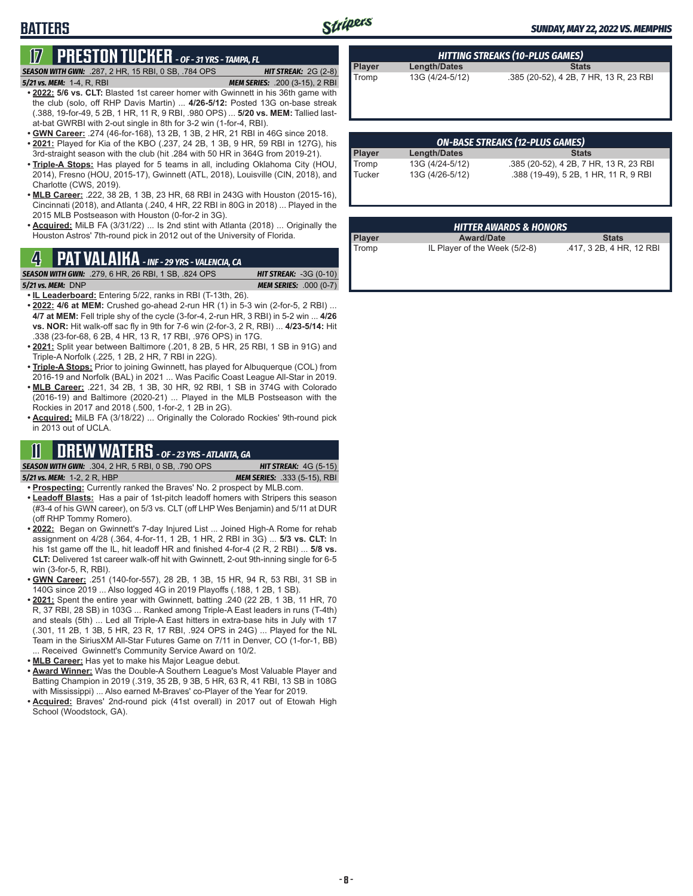# **17 PRESTON TUCKER** *- OF - 31 YRS - TAMPA, FL*

*SEASON WITH GWN:*.287, 2 HR, 15 RBI, 0 SB, .784 OPS *HIT STREAK:* 2G (2-8)

**BATTERS**

- *5/21 vs. MEM:*1-4, R, RBI *MEM SERIES:* .200 (3-15), 2 RBI **• 2022: 5/6 vs. CLT:** Blasted 1st career homer with Gwinnett in his 36th game with the club (solo, off RHP Davis Martin) ... **4/26-5/12:** Posted 13G on-base streak (.388, 19-for-49, 5 2B, 1 HR, 11 R, 9 RBI, .980 OPS) ... **5/20 vs. MEM:** Tallied lastat-bat GWRBI with 2-out single in 8th for 3-2 win (1-for-4, RBI).
- **• GWN Career:** .274 (46-for-168), 13 2B, 1 3B, 2 HR, 21 RBI in 46G since 2018.
- **• 2021:** Played for Kia of the KBO (.237, 24 2B, 1 3B, 9 HR, 59 RBI in 127G), his 3rd-straight season with the club (hit .284 with 50 HR in 364G from 2019-21).
- **• Triple-A Stops:** Has played for 5 teams in all, including Oklahoma City (HOU, 2014), Fresno (HOU, 2015-17), Gwinnett (ATL, 2018), Louisville (CIN, 2018), and Charlotte (CWS, 2019).
- **• MLB Career:** .222, 38 2B, 1 3B, 23 HR, 68 RBI in 243G with Houston (2015-16), Cincinnati (2018), and Atlanta (.240, 4 HR, 22 RBI in 80G in 2018) ... Played in the 2015 MLB Postseason with Houston (0-for-2 in 3G).
- **• Acquired:** MiLB FA (3/31/22) ... Is 2nd stint with Atlanta (2018) ... Originally the Houston Astros' 7th-round pick in 2012 out of the University of Florida.

# Tromp IL Player of the Week (5/2-8) .417, 3 2B, 4 HR, 12 RBI **4 PAT VALAIKA** *- INF - 29 YRS - VALENCIA, CA*

*SEASON WITH GWN:*.279, 6 HR, 26 RBI, 1 SB, .824 OPS *HIT STREAK:* -3G (0-10)

*5/21 vs. MEM:*DNP *MEM SERIES:* .000 (0-7)

- **• IL Leaderboard:** Entering 5/22, ranks in RBI (T-13th, 26).
- **• 2022: 4/6 at MEM:** Crushed go-ahead 2-run HR (1) in 5-3 win (2-for-5, 2 RBI) ... **4/7 at MEM:** Fell triple shy of the cycle (3-for-4, 2-run HR, 3 RBI) in 5-2 win ... **4/26 vs. NOR:** Hit walk-off sac fly in 9th for 7-6 win (2-for-3, 2 R, RBI) ... **4/23-5/14:** Hit .338 (23-for-68, 6 2B, 4 HR, 13 R, 17 RBI, .976 OPS) in 17G.
- **• 2021:** Split year between Baltimore (.201, 8 2B, 5 HR, 25 RBI, 1 SB in 91G) and Triple-A Norfolk (.225, 1 2B, 2 HR, 7 RBI in 22G).
- **• Triple-A Stops:** Prior to joining Gwinnett, has played for Albuquerque (COL) from 2016-19 and Norfolk (BAL) in 2021 ... Was Pacific Coast League All-Star in 2019.
- **• MLB Career:** .221, 34 2B, 1 3B, 30 HR, 92 RBI, 1 SB in 374G with Colorado (2016-19) and Baltimore (2020-21) ... Played in the MLB Postseason with the Rockies in 2017 and 2018 (.500, 1-for-2, 1 2B in 2G).
- **• Acquired:** MiLB FA (3/18/22) ... Originally the Colorado Rockies' 9th-round pick in 2013 out of UCLA.

## **11 DREW WATERS** *- OF - 23 YRS - ATLANTA, GA*

*SEASON WITH GWN:*.304, 2 HR, 5 RBI, 0 SB, .790 OPS *HIT STREAK:* 4G (5-15) *5/21 vs. MEM:*1-2, 2 R, HBP *MEM SERIES:* .333 (5-15), RBI

- **• Prospecting:** Currently ranked the Braves' No. 2 prospect by MLB.com.
- **• Leadoff Blasts:** Has a pair of 1st-pitch leadoff homers with Stripers this season (#3-4 of his GWN career), on 5/3 vs. CLT (off LHP Wes Benjamin) and 5/11 at DUR (off RHP Tommy Romero).
- **• 2022:** Began on Gwinnett's 7-day Injured List ... Joined High-A Rome for rehab assignment on 4/28 (.364, 4-for-11, 1 2B, 1 HR, 2 RBI in 3G) ... **5/3 vs. CLT:** In his 1st game off the IL, hit leadoff HR and finished 4-for-4 (2 R, 2 RBI) ... **5/8 vs. CLT:** Delivered 1st career walk-off hit with Gwinnett, 2-out 9th-inning single for 6-5 win (3-for-5, R, RBI).
- **• GWN Career:** .251 (140-for-557), 28 2B, 1 3B, 15 HR, 94 R, 53 RBI, 31 SB in 140G since 2019 ... Also logged 4G in 2019 Playoffs (.188, 1 2B, 1 SB).
- **• 2021:** Spent the entire year with Gwinnett, batting .240 (22 2B, 1 3B, 11 HR, 70 R, 37 RBI, 28 SB) in 103G ... Ranked among Triple-A East leaders in runs (T-4th) and steals (5th) ... Led all Triple-A East hitters in extra-base hits in July with 17 (.301, 11 2B, 1 3B, 5 HR, 23 R, 17 RBI, .924 OPS in 24G) ... Played for the NL Team in the SiriusXM All-Star Futures Game on 7/11 in Denver, CO (1-for-1, BB) ... Received Gwinnett's Community Service Award on 10/2.
- **• MLB Career:** Has yet to make his Major League debut.
- **• Award Winner:** Was the Double-A Southern League's Most Valuable Player and Batting Champion in 2019 (.319, 35 2B, 9 3B, 5 HR, 63 R, 41 RBI, 13 SB in 108G with Mississippi) ... Also earned M-Braves' co-Player of the Year for 2019.
- **• Acquired:** Braves' 2nd-round pick (41st overall) in 2017 out of Etowah High School (Woodstock, GA).

| HITTING STREAKS (10-PLUS GAMES) |                     |                                        |  |
|---------------------------------|---------------------|----------------------------------------|--|
| Player                          | <b>Length/Dates</b> | <b>Stats</b>                           |  |
| Tromp                           | 13G (4/24-5/12)     | .385 (20-52), 4 2B, 7 HR, 13 R, 23 RBI |  |

| <b>ON-BASE STREAKS (12-PLUS GAMES)</b> |  |  |  |
|----------------------------------------|--|--|--|
| <b>Stats</b>                           |  |  |  |
| .385 (20-52), 4 2B, 7 HR, 13 R, 23 RBI |  |  |  |
| .388 (19-49), 5 2B, 1 HR, 11 R, 9 RBI  |  |  |  |
|                                        |  |  |  |

| <b>HITTER AWARDS &amp; HONORS</b> |                               |                          |  |  |
|-----------------------------------|-------------------------------|--------------------------|--|--|
| Player                            | <b>Award/Date</b>             | <b>Stats</b>             |  |  |
| Tromp                             | IL Player of the Week (5/2-8) | .417, 3 2B, 4 HR, 12 RBI |  |  |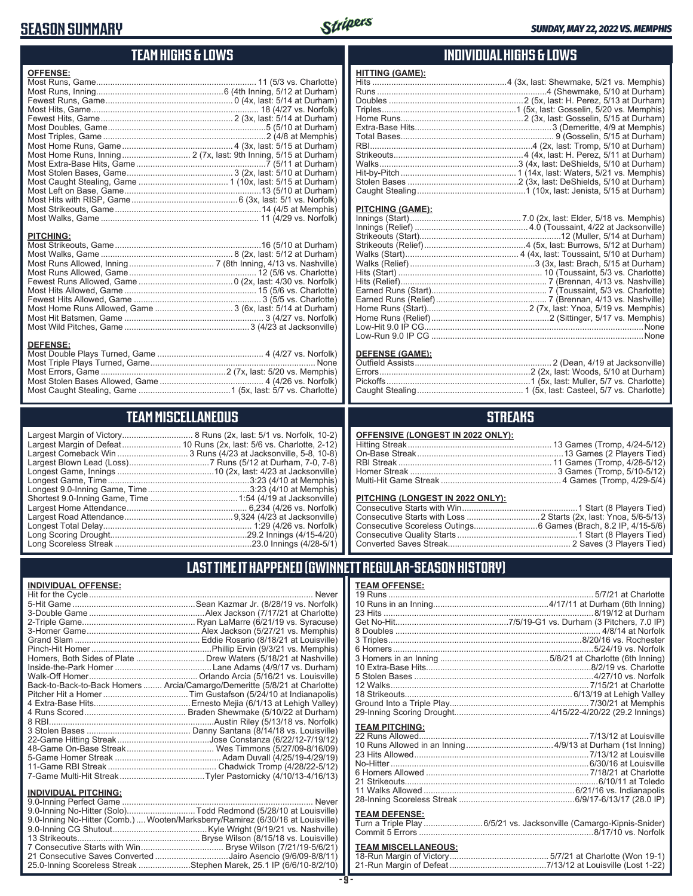### **SEASON SUMMARY**

**DEFENSE:**

**INDIVIDUAL OFFENSE:**



### **TEAM HIGHS & LOWS**

| <b>OFFENSE:</b>  |  |
|------------------|--|
|                  |  |
|                  |  |
|                  |  |
|                  |  |
|                  |  |
|                  |  |
|                  |  |
|                  |  |
|                  |  |
|                  |  |
|                  |  |
|                  |  |
|                  |  |
|                  |  |
|                  |  |
|                  |  |
|                  |  |
| <b>PITCHING:</b> |  |
|                  |  |
|                  |  |
|                  |  |

Most Runs Allowed, Game ...................................................... 12 (5/6 vs. Charlotte) Fewest Runs Allowed, Game ........................................0 (2x, last: 4/30 vs. Norfolk) Most Hits Allowed, Game ........................................................ 15 (5/6 vs. Charlotte) Fewest Hits Allowed, Game ...................................................... 3 (5/5 vs. Charlotte) Most Home Runs Allowed, Game ................................. 3 (6x, last: 5/14 at Durham) Most Hit Batsmen, Game ........................................................... 3 (4/27 vs. Norfolk) Most Wild Pitches, Game .....................................................3 (4/23 at Jacksonville)

Most Double Plays Turned, Game ............................................. 4 (4/27 vs. Norfolk) Most Triple Plays Turned, Game ...................................................................... None Most Errors, Game .....................................................2 (7x, last: 5/20 vs. Memphis) Most Stolen Bases Allowed, Game ............................................ 4 (4/26 vs. Norfolk) Most Caught Stealing, Game .......................................1 (5x, last: 5/7 vs. Charlotte)

**TEAM MISCELLANEOUS** Largest Margin of Victory.............................. 8 Runs (2x, last: 5/1 vs. Norfolk, 10-2) Largest Margin of Defeat......................... 10 Runs (2x, last: 5/6 vs. Charlotte, 2-12) Largest Comeback Win .............................. 3 Runs (4/23 at Jacksonville, 5-8, 10-8) Largest Blown Lead (Loss) ..................................7 Runs (5/12 at Durham, 7-0, 7-8) Longest Game, Innings .........................................10 (2x, last: 4/23 at Jacksonville) Longest Game, Time ............................................................3:23 (4/10 at Memphis) Longest 9.0-Inning Game, Time ...........................................3:23 (4/10 at Memphis) Shortest 9.0-Inning Game, Time .....................................1:54 (4/19 at Jacksonville) Largest Home Attendance ................................................... 6,234 (4/26 vs. Norfolk) Largest Road Attendance ..............................................9,324 (4/23 at Jacksonville) Longest Total Delay............................................................... 1:29 (4/26 vs. Norfolk) Long Scoring Drought..........................................................29.2 Innings (4/15-4/20) Long Scoreless Streak ..........................................................23.0 Innings (4/28-5/1)

### **INDIVIDUAL HIGHS & LOWS**

| . |                                                                       |
|---|-----------------------------------------------------------------------|
|   | Hits …………………………………………………4 (3x, last: Shewmake, 5/21 vs. Memphis)      |
|   |                                                                       |
|   |                                                                       |
|   |                                                                       |
|   |                                                                       |
|   |                                                                       |
|   |                                                                       |
|   |                                                                       |
|   |                                                                       |
|   |                                                                       |
|   |                                                                       |
|   |                                                                       |
|   | Caught Stealing…………………………………………1 (10x, last: Jenista, 5/15 at Durham) |
|   |                                                                       |

#### **PITCHING (GAME):**

**HITTING (GAME):**

| None |
|------|
|      |

### **DEFENSE (GAME):**

### **STREAKS**

| OFFENSIVE (LONGEST IN 2022 ONLY): |  |
|-----------------------------------|--|
|                                   |  |
|                                   |  |
|                                   |  |
|                                   |  |
|                                   |  |

### **PITCHING (LONGEST IN 2022 ONLY):**

19 Runs ....................................................................................... 5/7/21 at Charlotte 10 Runs in an Inning.................................................4/17/11 at Durham (6th Inning) 23 Hits .........................................................................................8/19/12 at Durham Get No-Hit................................................7/5/19-G1 vs. Durham (3 Pitchers, 7.0 IP) 8 Doubles ....................................................................................... 4/8/14 at Norfolk 3 Triples..................................................................................8/20/16 vs. Rochester 6 Homers.....................................................................................5/24/19 vs. Norfolk 3 Homers in an Inning ..............................................5/8/21 at Charlotte (6th Inning) 10 Extra-Base Hits......................................................................8/2/19 vs. Charlotte 5 Stolen Bases ............................................................................4/27/10 vs. Norfolk 12 Walks.................................................................................... 7/15/21 at Charlotte 18 Strikeouts....................................................................... 6/13/19 at Lehigh Valley Ground Into a Triple Play........................................................... 7/30/21 at Memphis 29-Inning Scoring Drought.........................................4/15/22-4/20/22 (29.2 Innings) **TEAM PITCHING:** 22 Runs Allowed........................................................................7/13/12 at Louisville 10 Runs Allowed in an Inning .....................................4/9/13 at Durham (1st Inning) 23 Hits Allowed ..........................................................................7/13/12 at Louisville No-Hitter ....................................................................................6/30/16 at Louisville 6 Homers Allowed ..................................................................... 7/18/21 at Charlotte 21 Strikeouts..................................................................................6/10/11 at Toledo 11 Walks Allowed ................................................................6/21/16 vs. Indianapolis 28-Inning Scoreless Streak .................................................6/9/17-6/13/17 (28.0 IP) **TEAM DEFENSE:** Turn a Triple Play .........................6/5/21 vs. Jacksonville (Camargo-Kipnis-Snider) Commit 5 Errors ..........................................................................8/17/10 vs. Norfolk **TEAM MISCELLANEOUS:** 18-Run Margin of Victory .......................................... 5/7/21 at Charlotte (Won 19-1) 21-Run Margin of Defeat .........................................7/13/12 at Louisville (Lost 1-22)

### **LAST TIME IT HAPPENED (GWINNETT REGULAR-SEASON HISTORY)**

**TEAM OFFENSE:**

|                             | Homers, Both Sides of Plate  Drew Waters (5/18/21 at Nashville)            |
|-----------------------------|----------------------------------------------------------------------------|
|                             |                                                                            |
|                             |                                                                            |
|                             | Back-to-Back-to-Back Homers  Arcia/Camargo/Demeritte (5/8/21 at Charlotte) |
|                             |                                                                            |
|                             |                                                                            |
|                             |                                                                            |
|                             |                                                                            |
|                             |                                                                            |
|                             |                                                                            |
|                             |                                                                            |
|                             |                                                                            |
|                             |                                                                            |
|                             |                                                                            |
| <b>INDIVIDUAL PITCHING:</b> |                                                                            |
|                             |                                                                            |

| 1110111007111101111101                                                         |  |
|--------------------------------------------------------------------------------|--|
|                                                                                |  |
| 9.0-Inning No-Hitter (Solo)Todd Redmond (5/28/10 at Louisville)                |  |
| 9.0-Inning No-Hitter (Comb.) Wooten/Marksberry/Ramirez (6/30/16 at Louisville) |  |
|                                                                                |  |
|                                                                                |  |
|                                                                                |  |
| 21 Consecutive Saves Converted Jairo Asencio (9/6/09-8/8/11)                   |  |
| 25.0-Inning Scoreless Streak Stephen Marek, 25.1 IP (6/6/10-8/2/10)            |  |
|                                                                                |  |